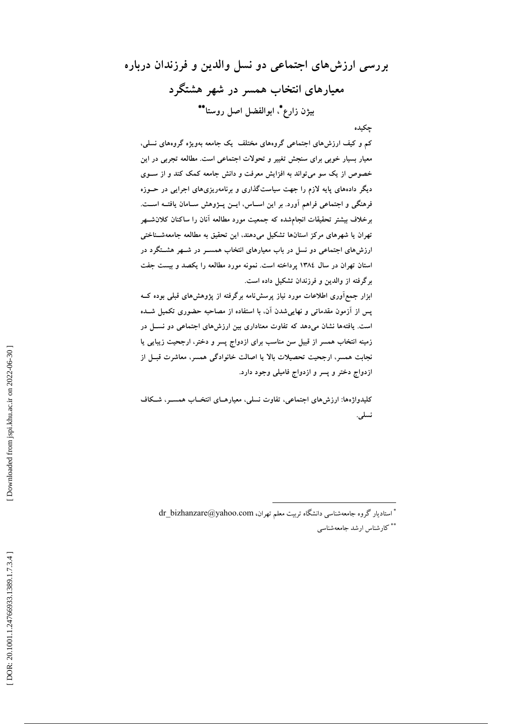بررسی ارزشهای اجتماعی دو نسل والدین و فرزندان درباره معیارهای انتخاب همسر در شهر هشتگرد بيژن زارع ً، ابوالفضل اصل روستاً \*\*

چکیده

کم و کیف ارزش،های اجتماعی گروههای مختلف یک جامعه بهویژه گروههای نسلی، معیار بسیار خوبی برای سنجش تغییر و تحولات اجتماعی است. مطالعه تجربی در این خصوص از یک سو می تواند به افزایش معرفت و دانش جامعه کمک کند و از سـوی دیگر دادههای پایه لازم را جهت سیاستگذاری و برنامهریزیهای اجرایی در حــوزه فرهنگی و اجتماعی فراهم آورد. بر این اسـاس، ایــن پــژوهش ســامان یافتــه اســت. برخلاف بیشتر تحقیقات انجامشده که جمعیت مورد مطالعه أنان را ساکنان کلان شهر تهران یا شهرهای مرکز استانها تشکیل میدهند، این تحقیق به مطالعه جامعهشـناختی ارزشهای اجتماعی دو نسل در باب معیارهای انتخاب همســر در شــهر هشــتگرد در استان تهران در سال ۱۳۸٤ پرداخته است. نمونه مورد مطالعه را یکصد و بیست جفت برگرفته از والدین و فرزندان تشکیل داده است.

ابزار جمع آوری اطلاعات مورد نیاز پرسشiامه برگرفته از پژوهشهای قبلی بوده کــه پس از آزمون مقدماتی و نهاییشدن آن، با استفاده از مصاحبه حضوری تکمیل شــده است. یافتهها نشان میدهد که تفاوت معناداری بین ارزشهای اجتماعی دو نسـل در زمینه انتخاب همسر از قبیل سن مناسب برای ازدواج پسر و دختر، ارجحیت زیبایی یا نجابت همسر، ارجحیت تحصیلات بالا یا اصالت خانوادگی همسر، معاشرت قبــل از ازدواج دختر و پسر و ازدواج فامیلی وجود دارد.

کلیدواژهها: ارزشهای اجتماعی، تفاوت نسلی، معیارهـای انتخــاب همســر، شــکاف نسلى.

dr bizhanzare@yahoo.com (أستاديار كروه جامعهشناسي دانشگاه تريت معلم تهران \*\* كارشناس ارشد جامعهشناسي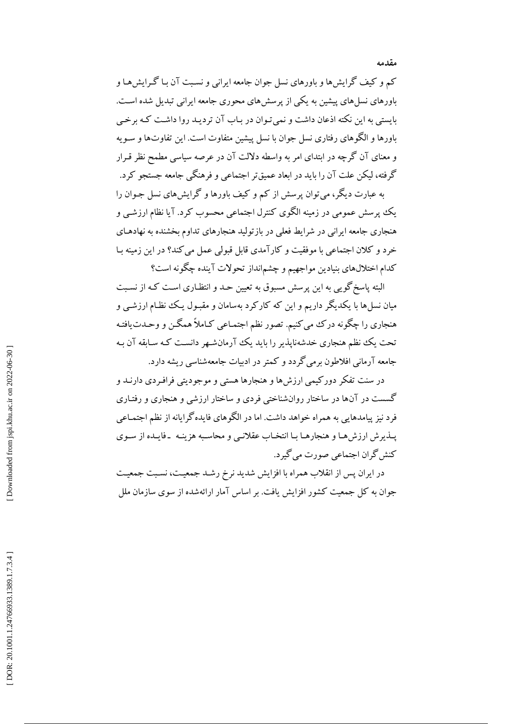کم و کیف گرایشها و باورهای نسل جوان جامعه ایرانی و نسبت آن بـا گـرایشهـا و باورهای نسل های پیشین به یکی از پرسش های محوری جامعه ایرانی تبدیل شده است. بایستی به این نکته اذعان داشت و نمی تـوان در بـاب آن تردیـد روا داشـت کـه برخـی باورها و الگوهای رفتاری نسل جوان با نسل پیشین متفاوت است. این تفاوتها و سـویه و معنای آن گرچه در ابتدای امر به واسطه دلالت آن در عرصه سیاسی مطمح نظر قـرار گرفته، ليكن علت آن را بايد در ابعاد عميقتر اجتماعي و فرهنگي جامعه جستجو كرد.

به عبارت دیگر، می توان پرسش از کم و کیف باورها و گرایشهای نسل جـوان را یک پوسش عمومی در زمینه الگوی کنترل اجتماعی محسوب کرد. آیا نظام ارزشبی و هنجاری جامعه ایرانی در شرایط فعلی در بازتولید هنجارهای تداوم بخشنده به نهادهـای خرد و كلان اجتماعي با موفقيت و كارآمدي قابل قبولي عمل مي كند؟ در اين زمينه بـا كدام اختلالهاي بنيادين مواجهيم و چشم|نداز تحولات آينده چگونه است؟

البته پاسخگویی به این پرسش مسبوق به تعیین حـد و انتظـاری اسـت کـه از نسـبت میان نسل ها با یکدیگر داریم و این که کارکرد بهسامان و مقبـول یـک نظـام ارزشـی و هنجاري را چگونه درک مي کنيم. تصور نظم اجتمـاعي کـاملاً همگـن و وحـدت يافتـه تحت یک نظم هنجاری خدشهنایذیر را باید یک آرمانشهر دانست کـه سـابقه آن بـه جامعه آرمانی افلاطون برمی گردد و کمتر در ادبیات جامعهشناسی ریشه دارد.

در سنت تفکر دورکیمی ارزش،ها و هنجارها هستی و موجودیتی فرافـردی دارنــد و گسست در آنها در ساختار روانشناختی فردی و ساختار ارزشی و هنجاری و رفتـاری فرد نیز پیامدهایی به همراه خواهد داشت. اما در الگوهای فایده گرایانه از نظم اجتمـاعی يـذيرش ارزش هـا و هنجارهـا بـا انتخـاب عقلانـي و محاسـبه هزينـه ـ فايـده از سـوى کنش گران اجتماعی صورت می گیرد.

در ایران پس از انقلاب همراه با افزایش شدید نرخ رشـد جمعیـت، نسـبت جمعیـت جوان به کل جمعیت کشور افزایش یافت. بر اساس آمار ارائهشده از سوی سازمان ملل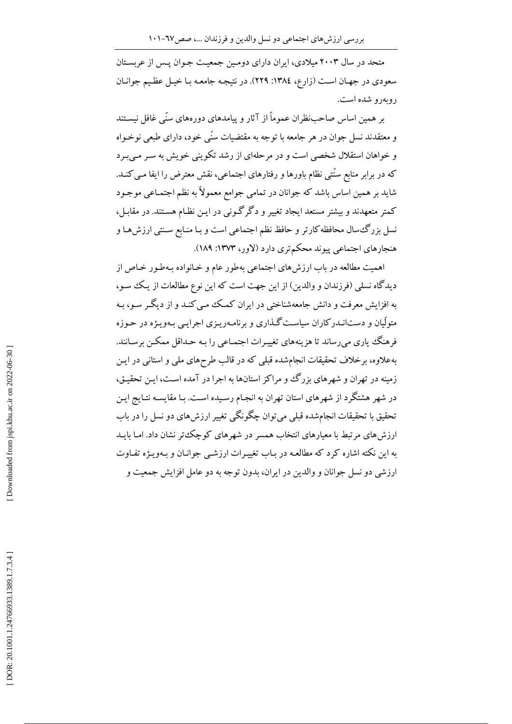متحد در سال ۲۰۰۳ میلادی، ایران دارای دومین جمعیت جوان پس از عربستان سعودي در جهـان اسـت (زارع، ١٣٨٤: ٢٢٩). در نتيجـه جامعـه بـا خيـل عظـيم جوانـان روبەرو شدە است.

بر همین اساس صاحب ظران عموماً از آثار و پیامدهای دورههای سنّی غافل نیسـتند و معتقدند نسل جوان در هر جامعه با توجه به مقتضیات سنّی خود، دارای طبعی نوخـواه و خواهان استقلال شخصی است و در مرحلهای از رشد تکوینی خویش به سر مے برد که در برابر منابع سنّتی نظام باورها و رفتارهای اجتماعی، نقش معترض را ایفا مبی کنـد. شايد بر همين اساس باشد كه جوانان در تمامي جوامع معمولاً به نظم اجتمـاعي موجـود کمتر متعهدند و بیشتر مستعد ایجاد تغییر و دگرگونی در ایـن نظـام هسـتند. در مقابـل، نسل بزرگءسال محافظه کارتر و حافظ نظم اجتماعی است و بـا منـابع سـنتی ارزشهـا و هنجارهاي اجتماعي پيوند محكمتري دارد (لاور، ١٣٧٣: ١٨٩).

اهمیت مطالعه در باب ارزشهای اجتماعی بهطور عام و خـانواده بـهطـور خـاص از دیدگاه نسلی (فرزندان و والدین) از این جهت است که این نوع مطالعات از یک سو، به افزایش معرفت و دانش جامعهشناختی در ایران کمک مبی کنـد و از دیگـر سـو، بـه متولّیان و دستانـدرکاران سیاسـتگـذاری و برنامـهریـزی اجرایـی بـهویـژه در حـوزه فرهنگ یاری میرساند تا هزینههای تغییـرات اجتمـاعی را بـه حـداقل ممکــن برسـانند. بهعلاوه، برخلاف تحقیقات انجامشده قبلی که در قالب طرحهای ملی و استانی در ایـن زمینه در تهران و شهرهای بزرگ وو مراکز استانها به اجرا در آمده است، ایـن تحقیـق، در شهر هشتگرد از شهرهای استان تهران به انجـام رسـیده اسـت. بـا مقایسـه نتـایج ایـن تحقیق با تحقیقات انجامشده قبلی میتوان چگونگی تغییر ارزش های دو نسل را در باب ارزش های مرتبط با معیارهای انتخاب همسر در شهرهای کوچک تر نشان داد. امـا بایــد به این نکته اشاره کرد که مطالعـه در بـاب تغییـرات ارزشـی جوانـان و بـهویـژه تفـاوت ارزشی دو نسل جوانان و والدین در ایران، بدون توجه به دو عامل افزایش جمعیت و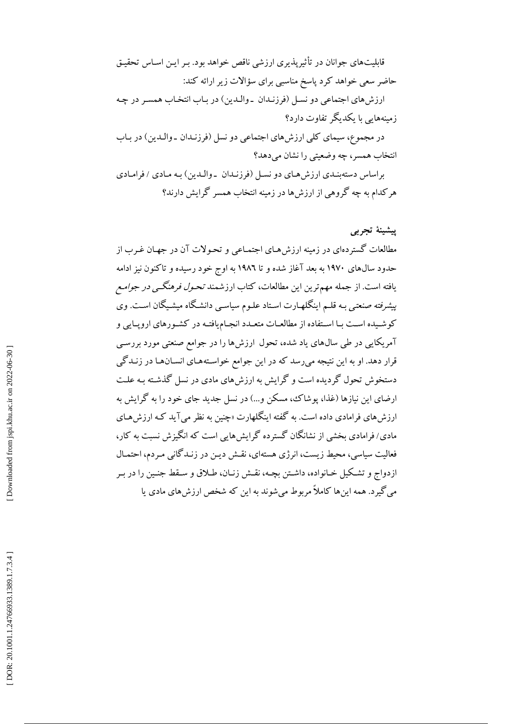قابلیتهای جوانان در تأثیرپذیری ارزشی ناقص خواهد بود. بـر ایـن اسـاس تحقیـق حاضر سعی خواهد کرد پاسخ مناسبی برای سؤالات زیر ارائه کند: ارزشهای اجتماعی دو نسل (فرزنـدان \_والـدین) در بـاب انتخـاب همسـر در چـه زمینههایی با یکدیگر تفاوت دارد؟ در مجموع، سیمای کلی ارزش های اجتماعی دو نسل (فرزنـدان ـ والـدین) در بـاب انتخاب همسر، چه وضعتی را نشان می دهد؟ براساس دستهبندی ارزش هیای دو نسل (فرزنیدان به والیدین) به میادی / فرامیادی هرکدام به چه گروهی از ارزش ها در زمینه انتخاب همسر گرایش دارند؟

## ييشينة تجربي

مطالعات گستردهای در زمینه ارزش هـای اجتمـاعی و تحـولات آن در جهـان غـرب از حدود سال@ای ۱۹۷۰ به بعد آغاز شده و تا ۱۹۸۲ به اوج خود رسیده و تاکنون نیز ادامه یافته است. از جمله مهم ترین این مطالعات، کتاب ارزشمند *تحـول فرهنگـی در جوامـع* پی*شرفته صنعتی ب*ه قلـم اینگلهـارت اسـتاد علـوم سیاسـی دانشـگاه میشـیگان اسـت. وی کوشیده است با استفاده از مطالعات متعـدد انجـامیافتـه در کشـورهای اروپـایی و آمریکایی در طی سال۵ای یاد شده، تحول ارزش۱ا را در جوامع صنعتی مورد بررسی قرار دهد. او به این نتیجه میرسد که در این جوامع خواستههـای انسـانهـا در زنـدگی دستخوش تحول گردیده است و گرایش به ارزش های مادی در نسل گذشـته بـه علـت ارضای این نیازها (غذا، پوشاک، مسکن و…) در نسل جدید جای خود را به گرایش به ارزش های فرامادی داده است. به گفته اینگلهارت «چنین به نظر می آید کـه ارزش هـای مادی/ فرامادی بخشی از نشانگان گسترده گرایش هایی است که انگیزش نسبت به کار، فعالیت سیاسی، محیط زیست، انرژی هستهای، نقش دیـن در زنـدگانی مـردم، احتمـال ازدواج و تشكيل خـانواده، داشـتن بچـه، نقـش زنـان، طـلاق و سـقط جنـين را در بـر می گیرد. همه این ها کاملاً مربوط می شوند به این که شخص ارزش های مادی یا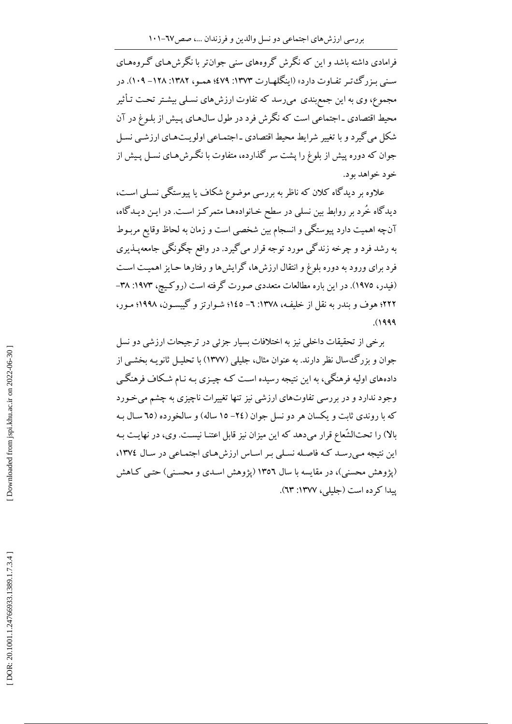فرامادی داشته باشد و این که نگرش گروههای سنی جوان تر با نگرش هـای گـروههـای سنبي بـزرگءتـر تفـاوت دارد» (اينگلهـارت ١٣٧٣: ٤٧٩؛ همـو، ١٣٨٢: ١٢٨- ١٠٩). در مجموع، وی به این جمع بندی ًمی رسد که تفاوت ارزش های نسـلی بیشـتر تحـت تـأثیر محیط اقتصادی ـ اجتماعی است که نگرش فرد در طول سال۵حای پـیش از بلـوغ در آن شکل می گیرد و با تغییر شرایط محیط اقتصادی ـ اجتمـاعی اولویـتهـای ارزشـی نسـل جوان که دوره پیش از بلوغ را پشت سر گذارده، متفاوت با نگـرش هـای نسـل پـیش از خو د خواهد بو د.

علاوه بر دیدگاه کلان که ناظر به بررسی موضوع شکاف یا پیوستگی نسلبی است، دیدگاه خُرد بر روابط بین نسلی در سطح خـانوادههـا متمرکـز اسـت. در ایــن دیــدگاه، آنچه اهمیت دارد پیوستگی و انسجام بین شخصی است و زمان به لحاظ وقایع مربـوط به رشد فرد و چرخه زندگی مورد توجه قرار میگیرد. در واقع چگونگی جامعهپــذیری فرد برای ورود به دوره بلوغ و انتقال ارزشها، گرایشها و رفتارها حـایز اهمیـت اسـت (فیدر، ۱۹۷۵). در این باره مطالعات متعددی صورت گرفته است (روکیچ، ۱۹۷۳: ۳۸-۲۲۲؛ هوف و بندر به نقل از خلیفـه، ۱۳۷۸: ٦– ۱٤٥؛ شـوارتز و گیبســون، ۱۹۹۸؛ مــور،  $(1999)$ 

برخی از تحقیقات داخلی نیز به اختلافات بسیار جزئی در ترجیحات ارزشی دو نسل جوان و بزرگ سال نظر دارند. به عنوان مثال، جلیلی (۱۳۷۷) با تحلیـل ثانویـه بخشـی از دادههای اولیه فرهنگی، به این نتیجه رسیده است کـه چیـزی بـه نـام شـکاف فرهنگـی وجود ندارد و در بررسی تفاوتهای ارزشی نیز تنها تغییرات ناچیزی به چشم میخورد که با روندی ثابت و یکسان هر دو نسل جوان (٢٤– ١٥ ساله) و سالخورده (٦٥ سـال بـه بالا) را تحتالشَّعاع قرار میدهد که این میزان نیز قابل اعتنـا نیسـت. وی، در نهایـت بـه این نتیجه مه رسد کـه فاصـله نسـلی بـر اسـاس ارزش هـای اجتمـاعی در سـال ١٣٧٤، (پژوهش محسنی)، در مقایسه با سال ۱۳۵۲ (پژوهش اسـدي و محسـنی) حتـی كـاهش ییدا کرده است (جلیلی، ۱۳۷۷: ٦٣).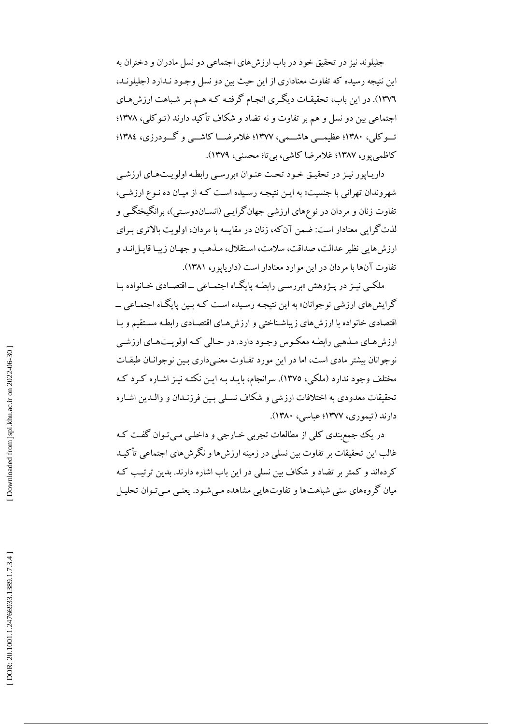جليلوند نيز در تحقيق خود در باب ارزش هاي اجتماعي دو نسل مادران و دختران به این نتیجه رسیده که تفاوت معناداری از این حیث بین دو نسل وجـود نـدارد (جلیلونـد، ١٣٧٦). در اين باب، تحقيقـات ديگـري انجـام گرفتـه كـه هـم بـر شـباهت ارزش.هـاي اجتماعي بين دو نسل و هم بر تفاوت و نه تضاد و شكاف تأكيد دارند (تـوكلي، ١٣٧٨؛ تــوکلی، ۱۳۸۰؛ عظیمــی هاشــمی، ۱۳۷۷؛ غلامرضــا کاشــی و گــودرزی، ۱۳۸٤؛ کاظمی یو د ۱۳۸۷؛ غلامرضا کاشی، بی تا؛ محسنی، ۱۳۷۹).

داریاپور نیز در تحقیق خود تحت عنوان «بررسهی رابطه اولویتهای ارزشبی شهروندان تهراني با جنسيت» به ايـن نتيجـه رسـيده اسـت كـه از ميـان ده نـوع ارزشـي، تفاوت زنان و مردان در نوعهای ارزشی جهانگرایبی (انسـاندوسـتی)، برانگیختگـی و لذت گرایی معنادار است: ضمن آن که، زنان در مقایسه با مردان، اولویت بالاتری به ای ارزش هايي نظير عدالت، صداقت، سلامت، استقلال، مـذهب و جهـان زيبـا قايـلانـد و تفاوت آنها با مردان در این موارد معنادار است (داریایور، ۱۳۸۱).

ملکـي نيـز در پـژوهش «بررسـي رابطـه پايگـاه اجتمـاعي ــاقتصـادي خـانواده بـا گرایش های ارزشی نوجوانان» به این نتیجه رسـیده اسـت کـه بـین پایگـاه اجتمـاعی ــ اقتصادی خانواده با ارزش های زیباشناختی و ارزش هـای اقتصـادی رابطـه مسـتقیم و بـا ارزش هـاي مـذهبي رابطـه معكـوس وجـود دارد. در حـالي كـه اولويـتهـاي ارزشـي نوجوانان بیشتر مادی است، اما در این مورد تفـاوت معنـیداری بـین نوجوانـان طبقـات مختلف وجود ندارد (ملکی، ١٣٧٥). سرانجام، بایـد بـه ایـن نکتـه نیـز اشـاره کـرد کـه تحقیقات معدودی به اختلافات ارزشی و شکاف نسـلی بـین فرزنـدان و والـدین اشـاره دارند (تيموري، ١٣٧٧؛ عباسي، ١٣٨٠).

در یک جمع بندی کلی از مطالعات تجربی خـارجی و داخلـی مـی تـوان گفـت کـه غالب این تحقیقات بر تفاوت بین نسلم در زمینه ارزش ها و نگرش های اجتماعی تأکیـد کردهاند و کمتر بر تضاد و شکاف بین نسلی در این باب اشاره دارند. بدین ترتیب کـه میان گروههای سنی شباهتها و تفاوتهایی مشاهده مـیشـود. یعنـی مـیتـوان تحلیـل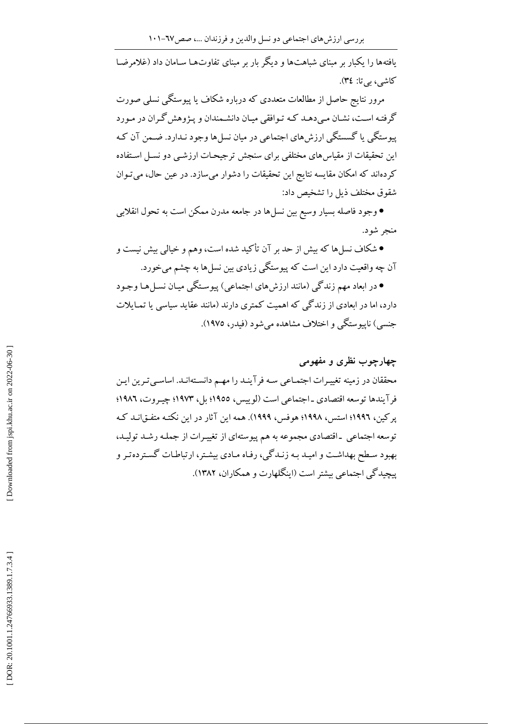یافتهها را یکبار بر مبنای شباهتها و دیگر بار بر مبنای تفاوتهـا سـامان داد (غلامرضـا کاشی، بی تا: ٣٤).

مرور نتایج حاصل از مطالعات متعددی که درباره شکاف یا پیوستگی نسلی صورت گرفته است، نشـان مـى دهـد كـه تـوافقى ميـان دانشـمندان و يـژوهش گـران در مـورد پیوستگی یا گسستگی ارزش های اجتماعی در میان نسل ها وجود نـدارد. ضـمن آن کـه این تحقیقات از مقیاس های مختلفی برای سنجش تر جیحیات ارزشبی دو نسیل استفاده كردهاند كه امكان مقايسه نتايج اين تحقيقات را دشوار مي سازد. در عين حال، مي تـوان شقوق مختلف ذیل را تشخیص داد:

● وجود فاصله بسیار وسیع بین نسلها در جامعه مدرن ممکن است به تحول انقلابی منجر شود.

● شکاف نسلها که بیش از حد بر آن تأکید شده است، وهم و خیالی بیش نیست و آن چه واقعیت دارد این است که پیوستگی زیادی بین نسلها به چشم می خورد.

• در ابعاد مهم زندگی (مانند ارزش های اجتماعی) پیوستگی میـان نسـل هـا وجـود دارد، اما در ابعادی از زندگی که اهمیت کمتری دارند (مانند عقاید سیاسی یا تمـایلات جنسی) ناپیوستگی و اختلاف مشاهده می شود (فیدر، ۱۹۷۵).

## چهارچوب نظری و مفهومی

محققان در زمینه تغییرات اجتمـاعی سـه فرآینـد را مهـم دانسـتهانـد. اساسـی تـرین ایـن فرآيندها توسعه اقتصادي ـ اجتماعي است (لوييس، ١٩٥٥؛ بل، ١٩٧٣؛ چيـروت، ١٩٨٦؛ پرکین، ۱۹۹۲؛ استس، ۱۹۹۸؛ هوفس، ۱۹۹۹). همه این آثار در این نکتـه متفـق|نـد کـه توسعه اجتماعی \_اقتصادی مجموعه به هم پیوستهای از تغییرات از جملـه رشـد تولیـد، بهبود سطح بهداشت و امیـد بـه زنـدگی، رفـاه مـادي بیشـتر، ارتباطـات گسـتردهتـر و پیچیدگی اجتماعی بیشتر است (اینگلهارت و همکاران، ۱۳۸۲).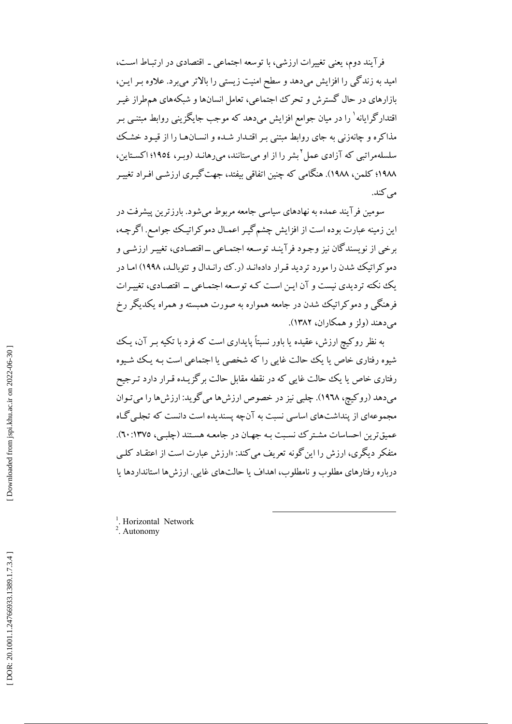فرآیند دوم، یعنی تغییرات ارزشی، با توسعه اجتماعی ـ اقتصادی در ارتبـاط اسـت، امید به زندگی را افزایش میدهد و سطح امنیت زیستی را بالاتر میبرد. علاوه بر ایـن، بازارهای در حال گسترش و تحرک اجتماعی، تعامل انسانها و شبکههای هم طراز غیـر اقتدارگرایانه` را در میان جوامع افزایش میدهد که موجب جایگزینی روابط مبتنــی بـر مذاکره و چانهزنی به جای روابط مبتنی بـر اقتـدار شـده و انسـانهـا را از قيـود خشـک سلسلهمراتبی که آزادی عمل <sup>۲</sup> نشر را از او می ستانند، می رهانـد (ویـر، ۱۹۵٤؛ اکسـتاین، ١٩٨٨؛ كلمن، ١٩٨٨). هنگامي كه چنين اتفاقي بيفتد، جهت گيـري ارزشـي افـراد تغييـر می کند.

سومین فرآیند عمده به نهادهای سیاسی جامعه مربوط می شود. بارزترین پیشرفت در این زمینه عبارت بوده است از افزایش چشم گیـر اعمـال دمو کراتیـک جوامـع. اگرچـه، برخی از نویسندگان نیز وجـود فرآینـد توسـعه اجتمـاعی ــ اقتصـادی، تغییـر ارزشــی و دمو کر اتیک شدن را مورد تردید قرار دادهانـد (ر.ک رانـدال و تئوبالـد، ۱۹۹۸) امـا در یک نکته تردیدی نیست و آن این است کـه توسعه اجتمـاعی ــ اقتصـادی، تغییرات فرهنگی و دموکراتیک شدن در جامعه همواره به صورت همبسته و همراه یکدیگر رخ مے دهند (ولز و همکاران، ۱۳۸۲).

به نظر روکیچ ارزش، عقیده یا باور نسبتاً پایداری است که فرد با تکیه بـر آن، یـک شیوه رفتاری خاص یا یک حالت غایی را که شخصی یا اجتماعی است بـه یـک شـیوه رفتاری خاص یا یک حالت غایی که در نقطه مقابل حالت برگزیـده قـرار دارد تـرجیح میدهد (روکیچ، ۱۹۶۸). چلبی نیز در خصوص ارزش ها می گوید: ارزش ها را می تـوان مجموعهای از پنداشتهای اساسی نسبت به آنچه پسندیده است دانست که تجلبی گـاه عمیق ترین احساسات مشتر ک نسبت بـه جهـان در جامعـه هسـتند (چلبـی، ١٣٧٥: ٦٠). متفکر دیگری، ارزش را این گونه تعریف می کند: «ارزش عبارت است از اعتقیاد کلبی درباره رفتارهاي مطلوب و نامطلوب، اهداف يا حالتهاي غايبي. ارزشها استانداردها يا

<sup>1</sup>. Horizontal Network

 $2.$  Autonomy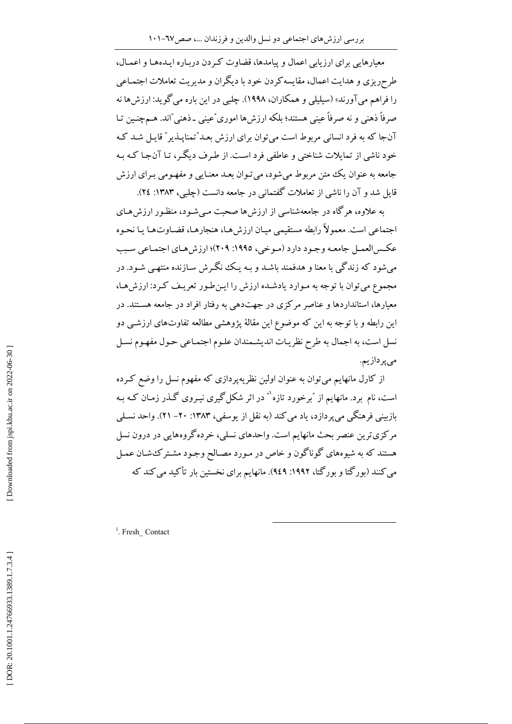معیارهایی برای ارزیابی اعمال و پیامدها، قضاوت که دن دربـاره ایـدههـا و اعمـال، طرحریزی و هدایت اعمال، مقایسه کردن خود با دیگران و مدیریت تعاملات اجتمـاعی را فراهم میآورند» (سیلیلی و همکاران، ۱۹۹۸). چلبی در این باره میگوید: ارزش ها نه صرفاً ذهنی و نه صرفاً عینی هستند؛ بلکه ارزشها اموری ٌعینی ـ ذهنی ٌاند. هــمچنـین تـا آنجا که به فرد انسانی مربوط است می توان برای ارزش بعـد ٌتمنایـذیر ٌ قایـل شـد کـه خود ناشی از تماپلات شناختی و عاطفی فرد است. از طرف دیگر، تیا آن جبا کیه به جامعه به عنوان یک متن مربوط می شود، می تـوان بعـد معنـایی و مفهـومی بـرای ارزش قامل شد و آن را ناشی از تعاملات گفتمانی در جامعه دانست (چلبی، ۱۳۸۳: ۲٤).

به علاوه، هرگاه در جامعهشناسی از ارزش ها صحبت مبی شـود، منظـور ارزش هـای اجتماعی است. معمولاً رابطه مستقیمی میـان ارزش هـا، هنجارهـا، قضـاوتـهـا یـا نحـوه عكـس|لعمـل جامعـه وجـود دارد (مـوخي، ١٩٩٥: ٢٠٩)؛ ارزش هـاي اجتمـاعي سـبب می شود که زندگی با معنا و هدفمند باشـد و بـه یـک نگـرش سـازنده منتهـی شـود. در مجموع می توان با توجه به مـوارد یادشـده ارزش را ایـن طـور تعریـف کـرد: ارزش هـا، معیارها، استانداردها و عناصر مرکزی در جهتدهی به رفتار افراد در جامعه هستند. در این رابطه و با توجه به این که موضوع این مقالهٔ پژوهشی مطالعه تفاوتهای ارزشـی دو نسل است، به اجمال به طرح نظريـات انديشـمندان علـوم اجتمـاعي حـول مفهـوم نسـل مى پردازيم.

از کارل مانهایم میتوان به عنوان اولین نظریهپردازی که مفهوم نسل را وضع کـرده است، نام برد. مانهایم از ″برخورد تازه`″ در اثر شکل گیری نیـروی گـذر زمـان کـه بـه بازبینی فرهنگی می پردازد، یاد می کند (به نقل از یوسفی، ۱۳۸۳: ۲۰– ۲۱). واحد نسلمی مرکزی ترین عنصر بحث مانهایم است. واحدهای نسلی، خرده گروههایی در درون نسل هستند که به شیوههای گوناگون و خاص در مـورد مصـالح وجـود مشـتر کـُشـان عمـل می کنند (بورگتا و بورگتا، ۱۹۹۲: ۹٤۹). مانهایم برای نخستین بار تأکید می کند که

<sup>1</sup>. Fresh Contact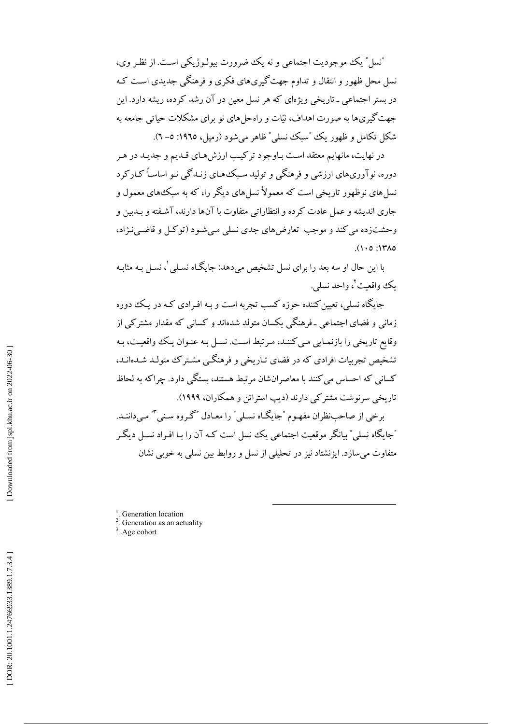"نسل ″ یک موجودیت اجتماعی و نه یک ضرورت بیولـوژیکی اسـت. از نظـر وی، نسل محل ظهور و انتقال و تداوم جهت گیریهای فکری و فرهنگی جدیدی است کـه در بستر اجتماعی ـ تاریخی ویژهای که هر نسل معین در آن رشد کرده، ریشه دارد. این جهت گیریها به صورت اهداف، نیّات و راه حل های نو برای مشکلات حیاتبی جامعه به شکل تکامل و ظهور یک "سبک نسلی" ظاهر می شود (رمیل، ١٩٦٥: ٥- ٦).

در نهایت، مانهایم معتقد است پاوجود ترکیب ارزش های قیدیم و جدید در هیر دوره، نو آوریهای ارزشی و فرهنگی و تولید سبک هـای زنـدگی نـو اساسـاً کـارکرد نسل های نوظهور تاریخی است که معمولاً نسل های دیگر را، که به سبک های معمول و جاري انديشه و عمل عادت كرده و انتظاراتي متفاوت با آنها دارند، آشـفته و بــدبين و وحشتزده می کند و موجب تعارض های جدی نسلی مے شود (تو کیل و قاضی نـژاد،  $( \cdot \circ \cdot )$ 

با این حال او سه بعد را برای نسل تشخیص میدهد: جایگاه نسـلی ْ، نسـل بـه مثابـه يڪو واقعت <sup>ت</sup>ي واحد نسلي.

جایگاه نسله ِ، تعیین کننده حوزه کسب تجربه است و بـه افـرادی کـه در یـک دوره زمانی و فضای اجتماعی ـ فرهنگی یکسان متولد شدهاند و کسانی که مقدار مشترکی از وقايع تاريخي را بازنمـايي مـي كننـد، مـرتبط اسـت. نسـل بـه عنـوان يـك واقعيـت، بـه تشخیص تجربیات افرادی که در فضای تـاریخی و فرهنگـی مشـترک متولـد شـدهانـد، کسانی که احساس می کنند با معاصرانشان مرتبط هستند، بستگی دارد. چراکه به لحاظ تاریخی سرنوشت مشترکی دارند (دیب استراتن و همکاران، ۱۹۹۹).

برخی از صاحب نظران مفهـوم "جایگـاه نسـلی" را معـادل "گـروه سـنی "" مـیداننـد. "جايگاه نسلمي" بيانگر موقعيت اجتماعي يک نسل است کـه آن را بـا افـراد نسـل ديگـر متفاوت می سازد. ایزنشتاد نیز در تحلیلی از نسل و روابط بین نسلی به خوبی نشان

 $\frac{1}{1}$ . Generation location

<sup>2</sup>. Generation as an aetuality

 $3.$  Age cohort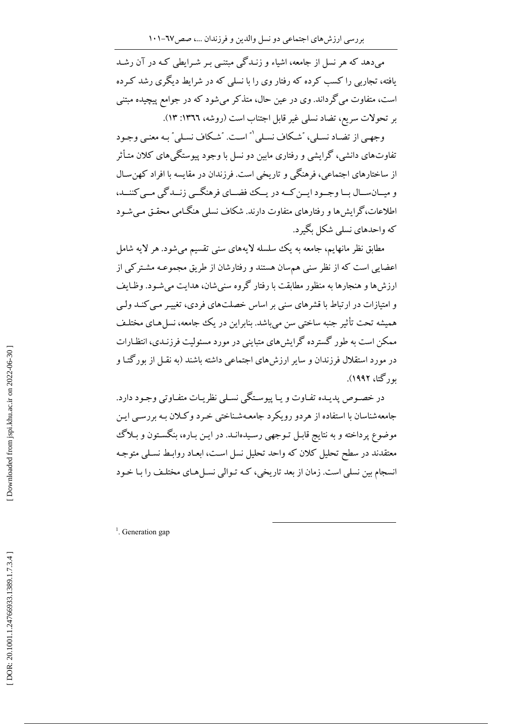می،دهد که هر نسل از جامعه، اشیاء و زنـدگی مبتنـبی بـر شـرایطی کـه در آن رشـد یافته، تجاربی را کسب کرده که رفتار وی را با نسلمی که در شرایط دیگری رشد کـرده است، متفاوت می گرداند. وی در عین حال، متذکر میشود که در جوامع پیچیده مبتنی بر تحولات سريع، تضاد نسلي غير قابل اجتناب است (روشه، ١٣٦٦: ١٣).

وجهي از تضاد نسلي، "شكاف نسلي " است. "شكاف نسلي " بـه معنـي وجـود تفاوتهای دانشی، گرایشی و رفتاری ماسن دو نسل با وجود پیوستگی های کلان متـأثر از ساختارهای اجتماعی، فرهنگی و تاریخی است. فرزندان در مقایسه با افراد کهن سـال و میسان سال بیا وجسود ایسن کسه در پیک فضسای فرهنگسی زنسدگی مسی کننسد، اطلاعات،گرایش ها و رفتارهای متفاوت دارند. شکاف نسلمی هنگـامی محقـق مـی شـود که واحدهای نسلی شکل بگیرد.

مطابق نظر مانهایم، جامعه به یک سلسله لایههای سنبی تقسیم می شود. هر لایه شامل اعضایی است که از نظر سنی هم سان هستند و رفتارشان از طریق مجموعـه مشـتر کی از ارزش ها و هنجارها به منظور مطابقت با رفتار گروه سنی شان، هدایت می شـود. وظـایف و امتیازات در ارتباط با قشرهای سنی بر اساس خصلتهای فردی، تغییـر مـی کنـد ولـی همیشه تحت تأثیر جنبه ساختی سن می باشد. بنابراین در یک جامعه، نسل هـای مختلـف ممکن است به طور گسترده گرایش های متباینی در مورد مسئولیت فرزنـدی، انتظـارات در مورد استقلال فرزندان و سایر ارزش های اجتماعی داشته باشند (به نقـل از بورگتـا و په د گتا، ۱۹۹۲).

در خصـوص پديـده تفـاوت و يـا پيوسـتگي نسـلي نظريـات متفـاوتي وجـود دارد. جامعهشناسان با استفاده از هردو رويكرد جامعـهشـناختبي خـرد وكـلان بـه بررســي ايـن موضوع پرداخته و به نتایج قابـل تـوجهی رسـیدهانـد. در ایـن بـاره، بنگسـتون و بـلاگ معتقدند در سطح تحلیل کلان که واحد تحلیل نسل است، ابعـاد روابـط نسـلمي متوجـه انسجام بین نسلی است. زمان از بعد تاریخی، کـه تـوالی نسـلهـای مختلـف را بـا خـود

 $1$ . Generation gap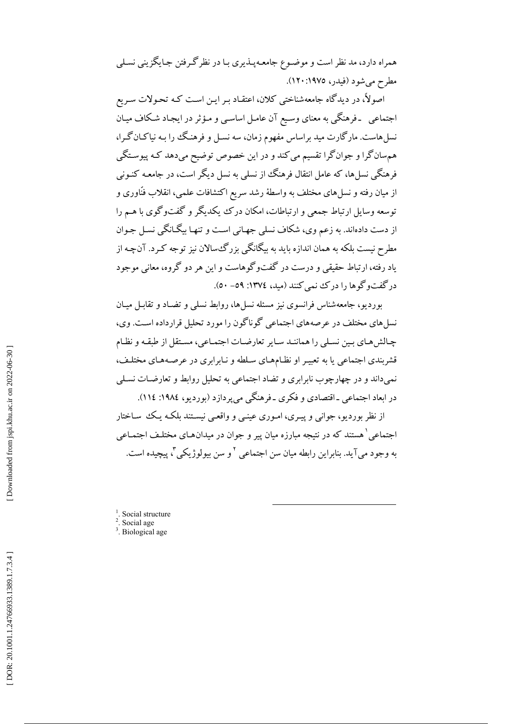همراه دارد، مد نظر است و موضـوع جامعـهپــذیری بــا در نظرگــرفتن جـایگزینی نسـلی مطرح مي شود (فيدر، ١٩٧٥: ١٢٠).

اصولاً، در دیدگاه جامعهشناختی کلان، اعتقـاد بـر ایـن اسـت کـه تحـولات سـریع اجتماعی ً ـ فرهنگی به معنای وسـیع آن عامـل اساسـی و مـؤثر در ایجـاد شـکاف میـان نسلهاست. مارگارت مید براساس مفهوم زمان، سه نسـل و فرهنـگ را بـه نیاکـانگـرا، هم سانگرا و جوانگرا تقسیم می کند و در این خصوص توضیح می دهد کـه پیوسـتگی فرهنگی نسل ها، که عامل انتقال فرهنگ از نسلم به نسل دیگر است، در جامعـه کنـونی از میان رفته و نسلهای مختلف به واسطهٔ رشد سریع اکتشافات علمی، انقلاب فنّاوری و توسعه وسایل ارتباط جمعی و ارتباطات، امکان درک ییکدیگر و گفتوگوی با هــم را از دست دادهاند. به زعم وي، شكاف نسلي جهـاني اسـت و تنهـا بيگـانگي نسـل جـوان مطرح نیست بلکه به همان اندازه باید به بیگانگی بزرگءسالان نیز توجه کـرد. آنچـه از یاد رفته، ارتباط حقیقی و درست در گفتوگوهاست و این هر دو گروه، معانی موجود در گفتوگوها را در ک نمی کنند (مید، ١٣٧٤: ٥٩- ٥٠).

بوردیو، جامعهشناس فرانسوی نیز مسئله نسل ها، روابط نسلمی و تضـاد و تقابـل میـان نسل های مختلف در عرصههای اجتماعی گوناگون را مورد تحلیل قرارداده است. وی، چـالش هـاي بـين نسـلي را هماننـد سـاير تعارضـات اجتمـاعي، مسـتقل از طبقـه و نظـام قشربندی اجتماعی یا به تعبیـر او نظـامهـای سـلطه و نـابرابری در عرصـههـای مختلـف، نمی،داند و در چهارچوب نابرابری و تضاد اجتماعی به تحلیل روابط و تعارضـات نسـلی در ابعاد اجتماعی ـ اقتصادی و فکری ـ فرهنگی می پردازد (بوردیو، ١٩٨٤: ١١٤).

از نظر بوردیو، جوانبی و پیـری، امـوری عینـبی و واقعـبی نیسـتند بلکـه یـک سـاختار اجتماعی ٰ هستند که در نتیجه مبارزه میان پیر و جوان در میدانهـای مختلـف اجتمـاعی به وجود مي آيد. بنابراين رابطه ميان سن اجتماعي `و سن بيولوژيکي `، پيچيده است.

- $<sup>1</sup>$ . Social structure</sup>
- <sup>2</sup>. Social age
- $3.$  Biological age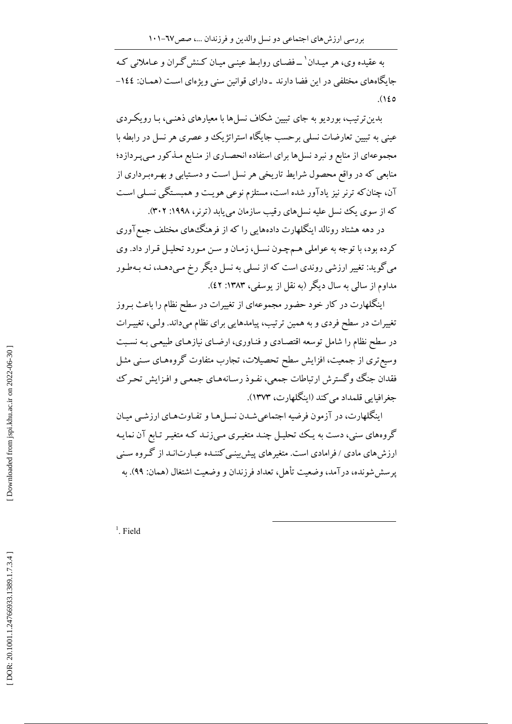به عقیده وی، هر میـدان' \_فضـای روابـط عینـی میـان کـنش گـران و عـاملانی کـه جایگاههای مختلفی در این فضا دارند ـ دارای قوانین سنی ویژهای است (همـان: ۱٤٤- $(120$ 

بدین ترتیب، بوردیو به جای تبیین شکاف نسل ها با معیارهای ذهنبی، بـا رویکـردی عینی به تبیین تعارضات نسلی برحسب جایگاه استراتژیک و عصری هر نسل در رابطه با مجموعهای از منابع و نبرد نسل ها برای استفاده انحصـاری از منـابع مـذکور مـی پـر دازد؛ منابعی که در واقع محصول شرایط تاریخی هر نسل است و دستیابی و بهروبرداری از آن، چنان که ترنر نیز یادآور شده است، مستلزم نوعی هویـت و همبسـتگی نسـلی اسـت که از سوی یک نسل علیه نسل های رقیب سازمان می پابد (ترنر، ۱۹۹۸: ۳۰۲).

در دهه هشتاد رونالد اینگلهارت دادههایی را که از فرهنگ های مختلف جمع آوری كرده بود، با توجه به عواملي هـمچـون نسـل، زمـان و سـن مـورد تحليـل قـرار داد. وي می گوید: تغییر ارزشی روندی است که از نسلی به نسل دیگر رخ مـی دهـد، نـه بـهطـور مداوم از سالمي به سال ديگر (به نقل از يوسفي، ۱۳۸۳: ٤٢).

اینگلهارت در کار خود حضور مجموعهای از تغییرات در سطح نظام را باعث بـروز تغییرات در سطح فردی و به همین ترتیب، پیامدهایی برای نظام میداند. ولیی، تغییـرات در سطح نظام را شامل توسعه اقتصادی و فنـاوری، ارضـای نیازهـای طبیعـی بـه نسـبت وسیع تری از جمعیت، افزایش سطح تحصیلات، تجارب متفاوت گروههـای سـنی مثـل فقدان جنگ وگسترش ارتباطات جمعی، نفـوذ رسـانههـای جمعـی و افـزايش تحـرک جغرافيايي قلمداد مي كند (اينگلهارت، ١٣٧٣).

اینگلهارت، در آزمون فرضیه اجتماعیشـدن نسـلهـا و تفـاوتهـای ارزشـی میـان گروههای سنی، دست به یک تحلیل چنـد متغیـری مـیiزد کـه متغیـر تـابع آن نمایـه ارزش های مادی / فرامادی است. متغیر های پیش بینبی کننـده عبـارت|نـد از گـروه سـنبی يرسش شونده، درآمد، وضعيت تأهل، تعداد فرزندان و وضعيت اشتغال (همان: ٩٩). به

 $<sup>1</sup>$ . Field</sup>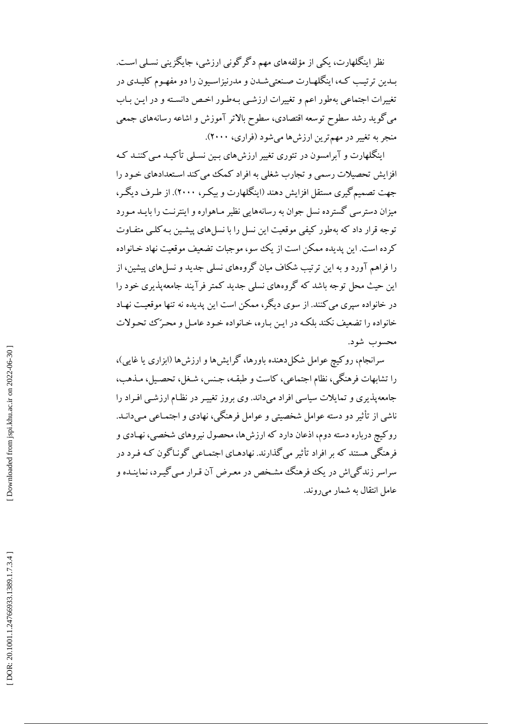نظر اینگلهارت، یکی از مؤلفههای مهم دگر گونی ارزشی، جایگزینی نسلی است. بـدین ترتیـب کـه، اینگلهـارت صـنعتيشـدن و مدرنیزاسـیون را دو مفهـوم کلیـدي در تغییرات اجتماعی بهطور اعم و تغییرات ارزشـی بـهطـور اخـص دانسـته و در ایـن بـاب می گوید رشد سطوح توسعه اقتصادی، سطوح بالاتر آموزش و اشاعه رسانههای جمعی منجر به تغییر در مهم ترین ارزش ها می شود (فراری، ۲۰۰۰).

اینگلهارت و آیرامسون در تئوری تغییر ارزش های پین نسلبی تأکید می کننید ک افزایش تحصیلات رسمی و تجارب شغلی به افراد کمک می کند استعدادهای خـود را جهت تصمیم گیری مستقل افزایش دهند (اینگلهارت و پیکر، ۲۰۰۰). از طرف دیگر، میزان دسترسی گسترده نسل جوان به رسانههایی نظیر مـاهواره و اینترنـت را بایــد مـورد توجه قرار داد که بهطور کیفی موقعیت این نسل را با نسل های پیشین بـه کلـی متفـاوت کرده است. این پدیده ممکن است از یک سو، موجبات تضعیف موقعیت نهاد خـانواده را فراهم آورد و به این ترتیب شکاف میان گروههای نسلمی جدید و نسل های پیشین، از این حیث محل توجه باشد که گروههای نسلمی جدید کمتر فرآیند جامعهیذیری خود را در خانواده سیری می کنند. از سوی دیگر، ممکن است این پدیده نه تنها موقعیت نهـاد خانواده را تضعیف نکند بلکه در ایـن بـاره، خـانواده خـود عامـل و محـرّک تحـولات محسوب شود.

سرانجام، روکیچ عوامل شکلدهنده باورها، گرایشها و ارزشها (ابزاری یا غایی)، را تشابهات فرهنگي، نظام اجتماعي، كاست و طبقـه، جـنس، شـغل، تحصـيل، مـذهب، جامعهپذیری و تمایلات سیاسی افراد میداند. وی بروز تغییـر در نظـام ارزشـی افـراد را ناشی از تأثیر دو دسته عوامل شخصیتی و عوامل فرهنگی، نهادی و اجتمـاعی مـیدانــد. روکیچ درباره دسته دوم، اذعان دارد که ارزشها، محصول نیروهای شخصی، نهـادی و فرهنگی هستند که بر افراد تأثیر می گذارند. نهادهـای اجتمـاعی گونـاگون کـه فـرد در سراسر زندگی اش در یک فرهنگ مشـخص در معـرض آن قـرار مـی گیـرد، نماینـده و عامل انتقال به شمار می روند.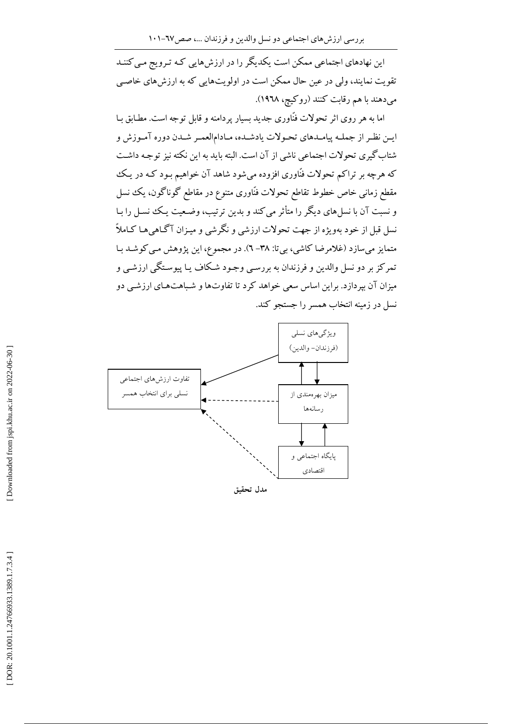این نهادهای اجتماعی ممکن است یکدیگر را در ارزشهایی کـه تـرویج مـی کننـد تقویت نمایند، ولی در عین حال ممکن است در اولویتهایی که به ارزش های خاصبی می دهند با هم رقابت کنند (روکیچ، ۱۹۶۸).

اما به هر روی اثر تحولات فنّاوری جدید بسیار پردامنه و قابل توجه است. مطـابق بـا ايـن نظـر از جملـه پيامـدهاي تحـولات يادشـده، مـادامالعمـر شـدن دوره آمـوزش و شتاب گیری تحولات اجتماعی ناشی از آن است. البته باید به این نکته نیز توجیه داشت که هرچه بر تراکم تحولات فنّاوری افزوده می شود شاهد آن خواهیم بـود کـه در یـک مقطع زمانی خاص خطوط تقاطع تحولات فنّاوری متنوع در مقاطع گوناگون، یک نسل و نسبت آن با نسلهای دیگر را متأثر می کند و بدین ترتیب، وضعیت یک نسل را بـا نسل قبل از خود بهویژه از جهت تحولات ارزشی و نگرشی و میـزان آگـاهی هـا کـاملاً متمایز میسازد (غلامرضا کاشی، بیتا: ۳۸– ٦). در مجموع، این پژوهش مبی کوشـد بـا تمرکز بر دو نسل والدین و فرزندان به بررسـی وجـود شـکاف یـا پیوسـتگـی ارزشـی و میزان آن بیردازد. براین اساس سعی خواهد کرد تا تفاوتها و شباهتهای ارزشبی دو نسل در زمینه انتخاب همسر را جستجو کند.



مدل تحقيق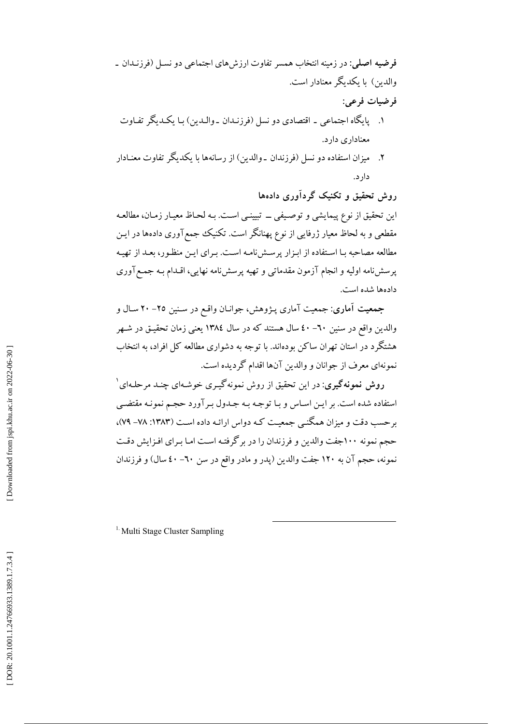فرضيه اصلي: در زمينه انتخاب همسر تفاوت ارزشهاى اجتماعي دو نسل (فرزنـدان ـ والدین) با یکدیگر معنادار است. فرضيات فرعي: ۱. پایگاه اجتماعی ـ اقتصادی دو نسل (فرزنـدان ـ والـدین) بـا یکـدیگر تفـاوت معناداری دارد.

٢. ميزان استفاده دو نسل (فرزندان ـ والدين) از رسانهها با يكديگر تفاوت معنـادار دار د.

روش تحقیق و تکنیک گردآوری دادهها این تحقیق از نوع پیمایشی و توصیفی ــ تبیینـی اسـت. بـه لحـاظ معیـار زمـان، مطالعـه مقطعی و به لحاظ معیار ژرفایی از نوع پهنانگر است. تکنیک جمع آوری دادهها در ایـن مطالعه مصاحبه بـا اسـتفاده از ابـزار پرسـشiامـه اسـت. بـراي ايـن منظـور، بعـد از تهيـه یر سش نامه اولیه و انجام آزمون مقدماتی و تهیه پرسش نامه نهایی، اقـدام بـه جمـع آوری دادهها شده است.

جمعیت آماری: جمعیت آماری پـژوهش، جوانـان واقـع در سـنین ٢٥– ٢٠ سـال و والدین واقع در سنین ٦٠– ٤٠ سال هستند که در سال ١٣٨٤ یعنی زمان تحقیـق در شـهر هشتگرد در استان تهران ساکن بودهاند. با توجه به دشواری مطالعه کل افراد، به انتخاب نمونهاي معرف از جوانان و والدين آنها اقدام گرديده است.

روش نمونهگیری: در این تحقیق از روش نمونهگیری خوشهای چنـد مرحلـهای ٔ استفاده شده است. بر ایـن اسـاس و بـا توجـه بـه جـدول بـر آورد حجـم نمونـه مقتضـي برحسب دقت و میزان همگنـی جمعیـت کـه دواس ارائـه داده اسـت (۱۳۸۳: ۷۸– ۷۹)، حجم نمونه ۱۰۰جفت والدین و فرزندان را در بر گرفته است امـا بـرای افـزایش دقـت نمونه، حجم آن به ۱۲۰ جفت والدین (پدر و مادر واقع در سن ٦٠- ٤٠ سال) و فرزندان

<sup>1.</sup> Multi Stage Cluster Sampling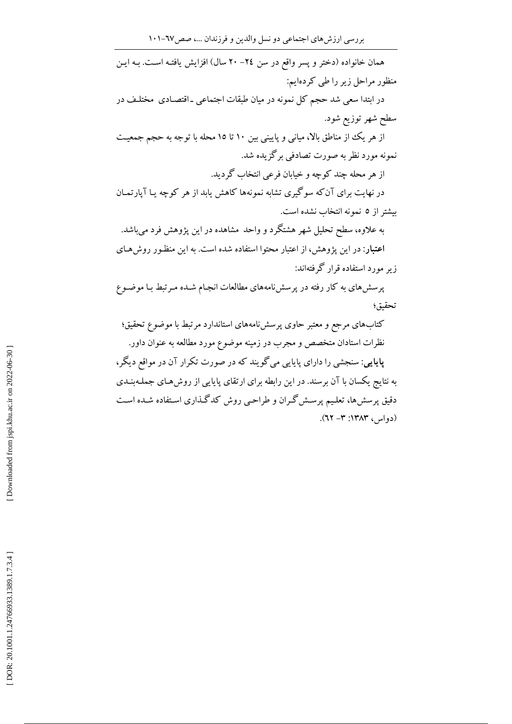همان خانواده (دختر و پسر واقع در سن ٢٤– ٢٠ سال) افزايش يافتـه اسـت. بـه ايـن منظور مراحل زیر را طی کردهایم: در ابتدا سعی شد حجم کل نمونه در میان طبقات اجتماعی ـ اقتصـادی مختلـف در سطح شهر توزیع شود. از هر یک از مناطق بالا، میانی و پایینی بین ۱۰ تا ۱۵ محله با توجه به حجم جمعیت نمونه مورد نظر به صورت تصادفی برگزیده شد. از هر محله چند کوچه و خیابان فرعی انتخاب گردید. در نهایت برای آنکه سوگیری تشابه نمونهها کاهش یابد از هر کوچه یـا آپارتمـان بیشتر از ٥ نمونه انتخاب نشده است. به علاوه، سطح تحلیل شهر هشتگرد و واحد مشاهده در این پژوهش فرد میباشد. اعتبار: در این پژوهش، از اعتبار محتوا استفاده شده است. به این منظور روشهای ز بر مورد استفاده قرار گرفتهاند: پرسش های به کار رفته در پرسشiامههای مطالعات انجـام شـده مـرتبط بـا موضـوع تحقيق؛ کتابهای مرجع و معتبر حاوی پرسشiامههای استاندارد مرتبط با موضوع تحقیق؛ نظرات استادان متخصص و مجرب در زمینه موضوع مورد مطالعه به عنوان داور. پایایی: سنجشی را دارای پایایی می گویند که در صورت تکرار آن در مواقع دیگر، به نتایج یکسان با آن برسند. در این رابطه برای ارتقای پایایی از روش هـای جملـهبنـدی

دقیق پرسشها، تعلیم پرسش گران و طراحیی روش کدگذاری استفاده شـده اسـت

 $(21 - T)$  (دواس) ۱۳۸۳: ۳- ۲۲).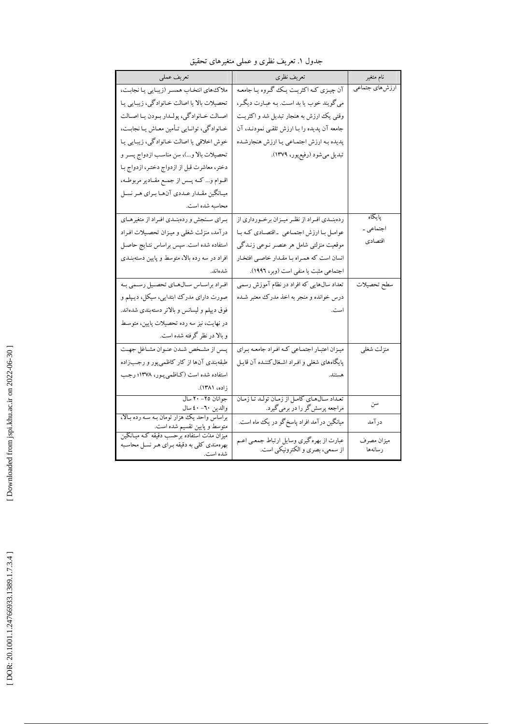| تعريف عملى                                                                                           | تعريف نظري                                                                   | نام متغير             |
|------------------------------------------------------------------------------------------------------|------------------------------------------------------------------------------|-----------------------|
| ملاك هاي انتخاب همسر (زيبايي يا نجابت،                                                               | آن چیـزي کـه اکثريـت يـک گـروه يـا جامعـه                                    | ارزشهای جتماعی        |
| تحصیلات بالا یا اصالت خـانوادگی، زیبـایی یـا                                                         | مي گويند خوب يا بد است. بـه عبـارت ديگـر،                                    |                       |
| اصالت خانوادگي، پولـدار بـودن يـا اصـالت                                                             | وقتی یک ارزش به هنجار تبدیل شد و اکثریت                                      |                       |
| خـانوادگی، توانـایی تـأمین معـاش یـا نجابـت،                                                         | جامعه آن پدیده را بـا ارزش تلقـی نمودنـد، آن                                 |                       |
| خوش اخلاقی یا اصالت خانوادگی، زیبایی یا                                                              | پدیده بـه ارزش اجتمـاعی یـا ارزش هنجارشـده                                   |                       |
| تحصیلات بالا و)، سن مناسب ازدواج پسـر و                                                              | تبديل مىشود (رفيع پور، ۱۳۷۹).                                                |                       |
| دختر، معاشرت قبل از ازدواج دختـر، ازدواج بـا                                                         |                                                                              |                       |
| اقــوام و كــه پــس از جمــع مقــادير مربوطــه،                                                      |                                                                              |                       |
| میـانگین مقـدار عـددي آنهـا بـراي هـر نسـل                                                           |                                                                              |                       |
| محاسبه شده است.                                                                                      |                                                                              |                       |
| برای سنجش و ردهبندی افراد از متغیرهـای                                                               | ردهبنـدي افـراد از نظـر ميـزان برخـورداري از                                 | پایگاه                |
| درآمد، منزلت شغلي و ميـزان تحصـيلات افـراد                                                           | عوامل با ارزش اجتماعی ۔اقتصادی که با                                         | اجتماعي ـ             |
| استفاده شده است. سپس براساس نتـايج حاصـل                                                             | موقعیت منزلتی شامل هر عنصـر نـوعی زنـدگی                                     | اقتصادى               |
| افراد در سه رده بالا، متوسط و پایین دستهبنـدی                                                        | انسان است که همـراه بـا مقـدار خاصـي افتخـار                                 |                       |
| شدهاند.                                                                                              | اجتماعی مثبت یا منفی است (وبر، ۱۹۹۲).                                        |                       |
| افراد براساس سالهاي تحصيل رسمي به                                                                    | تعداد سال هایی که افراد در نظام آموزش رسمی                                   | سطح تحصيلات           |
| صورت دارای مدرک ابتدایی، سیکل، دیپلم و                                                               | درس خوانده و منجر به اخذ مدرک معتبر شـده                                     |                       |
| فوق دیپلم و لیسانس و بالاتر دستهبندی شدهاند.                                                         | است.                                                                         |                       |
| در نهایت، نیز سه رده تحصیلات پایین، متوسط                                                            |                                                                              |                       |
| و بالا در نظر گرفته شده است.                                                                         |                                                                              |                       |
| پــس از مشـخص شــدن عنـوان مشــاغل جهــت                                                             | میزان اعتبار اجتماعی که افراد جامعه برای                                     | منزلت شغلي            |
| طبقهبندی آنها از کار کاظمیپور و رجبزاده                                                              | پایگاههای شغلی و افراد اشـغال کننـده آن قایـل                                |                       |
| استفاده شده است (کـاظمیپـور، ۱۳۷۸؛ رجـب                                                              | هستند.                                                                       |                       |
| زاده، ۱۳۸۱).                                                                                         |                                                                              |                       |
| جوانان ٢٥– ٢٠ سال                                                                                    | تعـداد سـالهـاي كامـل از زمـان تولـد تـا زمـان                               | سن                    |
| والدين ٦٠- ٤٠ سال<br>براساس واحد یک هزار تومان بـه سـه رده بـالا،                                    | مراجعه پرسش گر را در برمی گیرد.                                              |                       |
| متوسط و پایین تقسیم شده است.                                                                         | میانگین در آمد افراد پاسخ گو در یک ماه است.                                  | درآمد                 |
| میزان مدّت استفاده برحسب دقیقه کـه میـانگـین<br>بهرهمندي كلي به دقيقه براي هر نسل محاسبه<br>شده است. | عبارت از بهره گیری وسایل ارتباط جمعی اعـم<br>از سمعی، بصری و الکترونیکی است. | ميزان مصرف<br>رسانهها |

جدول ۱. تعریف نظری و عملی متغیرهای تحقیق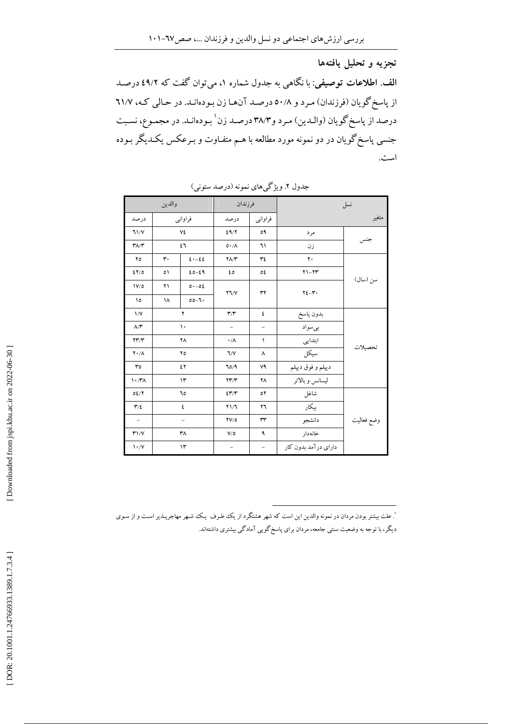تجزيه و تحليل يافتهها الف. اطلاعات توصیفی: با نگاهی به جدول شماره ۱، می توان گفت که ۶۹/۲ درصد از پاسخ گویان (فرزندان) مرد و ٥٠/٨ درصد آنها زن بودهانـد. در حـالي كـه، ٦١/٧ درصد از پاسخ گويان (والـدين) مـرد و٣٨/٣ درصـد زن ٰ بـودهانـد. در مجمـوع، نسـبت جنسی پاسخ گویان در دو نمونه مورد مطالعه با هــم متفـاوت و بـرعکس یکـدیگر بـوده است.

|                                 | والدين |                          | فرزندان                              |                          | نسل                   |            |  |
|---------------------------------|--------|--------------------------|--------------------------------------|--------------------------|-----------------------|------------|--|
| درصد                            |        | فراوانبي                 | درصد                                 | فراوانبي                 |                       | متغير      |  |
| 71/Y                            |        | ٧٤                       | 29/7                                 | ٥٩                       | مرد                   |            |  |
| $\mathbf{r}$                    |        | ٤٦                       | $0.7\lambda$                         | ٦١                       | زن                    | جنس        |  |
| ۲٥                              | ٣٠     | $\xi \cdot - \xi \xi$    | $Y\Lambda/Y$                         | ٣٤                       | ٢.                    |            |  |
| 27/0                            | ٥١     | $20 - 29$                | ٤٥                                   | ٥٤                       | $Y1-YY$               |            |  |
| $\frac{1}{2}$                   | ۲۱     | 0.06                     | $Y \mathbb{I}/V$                     | ٣٢                       | $YZ - Y$              | سن (سال)   |  |
| ١٥                              | ۱۸     | $00 - 7.$                |                                      |                          |                       |            |  |
| $\sqrt{V}$                      |        | ۲                        | $\mathbf{r}/\mathbf{r}$              | ٤                        | بدون پاسخ             | تحصيلات    |  |
| $\Lambda/\Upsilon$              |        | $\mathcal{L}$            | -                                    | $\overline{\phantom{m}}$ | بىسواد                |            |  |
| YY/Y                            |        | ٢٨                       | $\cdot/\Lambda$                      | ١                        | ابتدایی               |            |  |
| $\mathbf{Y} \cdot / \Lambda$    |        | ٢٥                       | 7/V                                  | ٨                        | سيكل                  |            |  |
| $r \circ$                       |        | ٤٢                       | 70/9                                 | ٧٩                       | ديپلم و فوق ديپلم     |            |  |
| $\mathcal{N} \cdot \mathcal{N}$ |        | $\mathcal{N}$            | $\Upsilon \Upsilon / \Upsilon$       | ۲٨                       | ليسانس وبالاتر        |            |  |
| 02/7                            |        | ٦0                       | 257/7                                | ٥٢                       | شاغل                  |            |  |
| $\mathbf{r}/\mathbf{r}$         |        | ٤                        | Y1/T                                 | ۲٦                       | بیکار                 |            |  |
| $\sim$                          |        | $\overline{\phantom{m}}$ | $\mathbf{Y} \mathbf{V} / \mathbf{0}$ | ٣٣                       | دانشجو                | وضع فعاليت |  |
| T1/V                            |        | ۳۸                       | V/O                                  | ٩                        | خانەدار               |            |  |
| $\mathcal{N}\cdot\mathcal{N}$   |        | $\mathcal{N}$            | -                                    | $\overline{\phantom{a}}$ | دارای در آمد بدون کار |            |  |

جدول ۲. ویژگیهای نمونه (درصد ستونی)

`. علت بیشتر بودن مردان در نمونه والدین این است که شهر هشتگرد از یک طرف یک شهر مهاجرپـذیر اسـت و از سـوی دیگر، با توجه به وضعیت سنتی جامعه، مردان برای پاسخ گویی آمادگی بیشتری داشتهاند.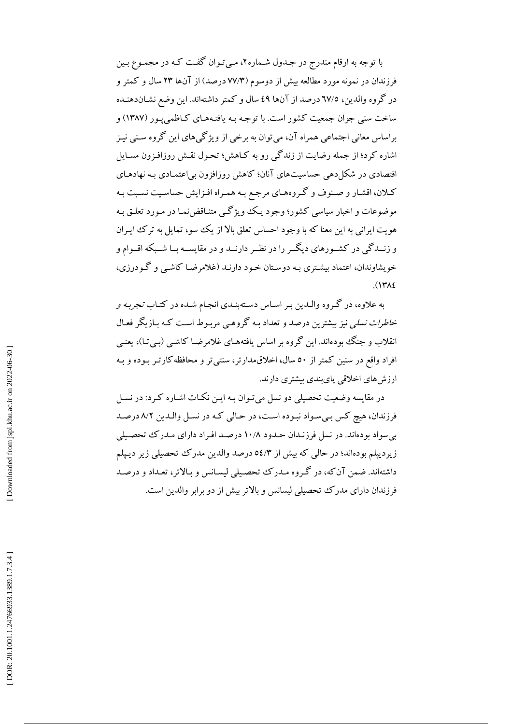با توجه به ارقام مندرج در جـدول شـماره٢، مـيتوان گفـت كـه در مجمـوع بـين فرزندان در نمونه مورد مطالعه بیش از دوسوم (۷۷/۳ درصد) از آنها ۲۳ سال و کمتر و در گروه والدین، ٦٧/٥ درصد از آنها ٤٩ سال و كمتر داشتهاند. این وضع نشـاندهنـده ساخت سنی جوان جمعیت کشور است. با توجه بـه یافتـههـای کـاظمی پـور (۱۳۸۷) و براساس معانی اجتماعی همراه آن، می توان به برخی از ویژگیهای این گروه سـنی نیـز اشاره کرد؛ از جمله رضایت از زندگی رو به کیاهش؛ تحبول نقش روزافیزون مسیایل اقتصادی در شکل دهی حساسیتهای آنان؛ کاهش روزافزون بی|عتمـادی بـه نهادهـای کـلان، اقشـار و صـنوف و گـروههـاي مرجـع بـه همـراه افـزايش حساسـيت نسـبت بـه موضوعات و اخبار سیاسی کشور؛ وجود یک ویژگے متنـاقضنمـا در مـورد تعلـق بـه هويت ايراني به اين معنا كه با وجود احساس تعلق بالا از يك سو، تمايل به ترك ايبران و زنــدگی در کشــورهای دیگــر را در نظــر دارنــد و در مقایســه بــا شــبکه اقــوام و خویشاوندان، اعتماد بیشتری به دوستان خـود دارنـد (غلامرضـا کاشـی و گـودرزی،  $(141)$ 

به علاوه، در گروه والـدین بـر اسـاس دسـتهبنـدي انجـام شـده در كتـاب *تجربـه و خاطرات نسلی* نیز بیشترین درصد و تعداد بـه گروهـی مربـوط اسـت کـه بـازیگر فعـال انقلاب و جنگ بودهاند. این گروه بر اساس یافتههـای غلامرضـا کاشـی (بـیتـا)، یعنـی افراد واقع در سنین کمتر از ٥٠ سال، اخلاق مدارتر، سنتی تر و محافظه کارتـر بـوده و بـه ارزشهای اخلاقی پایبندی بیشتری دارند.

در مقایسه وضعیت تحصیلی دو نسل می تـوان بـه ایـن نکـات اشـاره کـرد: در نسـل فرزندان، هیچ کس بـیسـواد نبـوده اسـت، در حـالی کـه در نسـل والـدین ۸/۲ درصـد بی سواد بودهاند. در نسل فرزندان حدود ۱۰/۸ درصد افراد دارای مدرک تحصیلی زیر دیپلم بودهاند؛ در حالی که بیش از ٥٤/٣ درصد والدین مدرک تحصیلی زیر دیپلم داشتهاند. ضمن آن که، در گروه مـدرک تحصـیلی لیسـانس و بـالاتر، تعـداد و درصـد فرزندان دارای مدرک تحصیلی لیسانس و بالاتر بیش از دو برابر والدین است.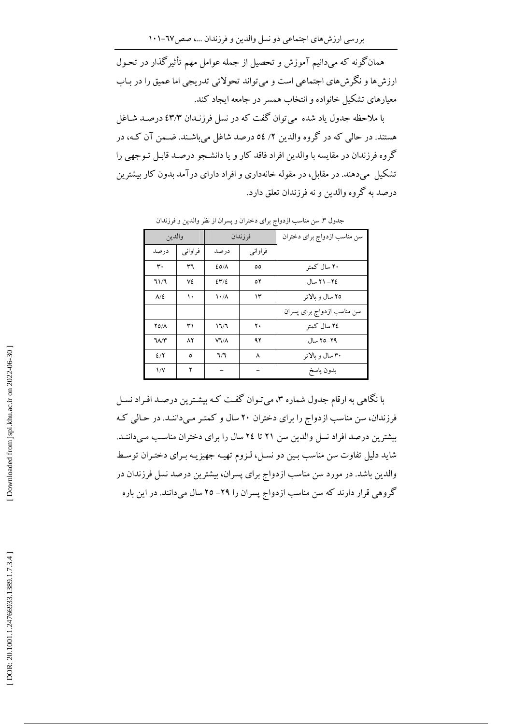بررسی ارزشهای اجتماعی دو نسل والدین و فرزندان ...، صص١٧-١٠١

همانگونه که میدانیم آموزش و تحصیل از جمله عوامل مهم تأثیرگذار در تحـول ارزش ها و نگرش های اجتماعی است و می تواند تحولاتی تدریجی اما عمیق را در بـاب معیارهای تشکیل خانواده و انتخاب همسر در جامعه ایجاد کند.

با ملاحظه جدول یاد شده می توان گفت که در نسل فرزنـدان ٤٣/٣ درصـد شـاغل هستند. در حالي كه در گروه والدين ٢/ ٥٤ درصد شاغل مي باشـند. ضـمن آن كـه، در گروه فرزندان در مقاسه با والدین افراد فاقد کار و با دانشجو درصـد قابـل تـوجهی را تشکیل می دهند. در مقابل، در مقوله خانهداری و افراد دارای درآمد بدون کار بیشترین درصد به گروه والدین و نه فرزندان تعلق دارد.

| والدين           |             | فرزندان                   |          | سن مناسب ازدواج برای دختران |  |  |  |
|------------------|-------------|---------------------------|----------|-----------------------------|--|--|--|
| درصد             | فراوانبي    | درصد                      | فراوانبي |                             |  |  |  |
| ٣.               | ٣٦          | EOM                       | ٥٥       | ۲۰ سال کمتر                 |  |  |  |
| ٦١/٦             | ٧٤          | 247/2                     | ٥٢       | ٢٤– ٢١ سال                  |  |  |  |
| $\Lambda/\Sigma$ | ١٠          | $\lambda \cdot / \lambda$ | ۱۳       | ۲۵ سال و ىالاتر             |  |  |  |
|                  |             |                           |          | سن مناسب ازدواج برای پسران  |  |  |  |
| <b>YO/A</b>      | ۳۱          | ۱٦/٦                      | ٢٠       | ٢٤ سال كمتر                 |  |  |  |
| ٦٨/٣             | $\Lambda$ ٢ | <b>VV/A</b>               | ۹۲       | ۲۹–۲۵ سال                   |  |  |  |
| 2/7              | ٥           | 7/7                       | ٨        | ۳۰ سال و بالاتر             |  |  |  |
| $\frac{1}{V}$    | ۲           |                           |          | بدون پاسخ                   |  |  |  |

جدول ٣. سن مناسب ازدواج براي دختران و يسران از نظر والدين و فرزندان

با نگاهی به ارقام جدول شماره ۳، میتوان گفت که بیشترین درصد افراد نسل فرزندان، سن مناسب ازدواج را برای دختران ۲۰ سال و کمتـر مـیداننـد. در حـالی کـه بیشترین درصد افراد نسل والدین سن ۲۱ تا ۲۶ سال را برای دختران مناسب میداننـد. شاید دلیل تفاوت سن مناسب بـین دو نسـل، لـزوم تهیـه جهیزیـه بـرای دختـران توسـط والدین باشد. در مورد سن مناسب ازدواج برای پسران، بیشترین درصد نسل فرزندان در گروهی قرار دارند که سن مناسب ازدواج پسران را ۲۹– ۲۵ سال میدانند. در این باره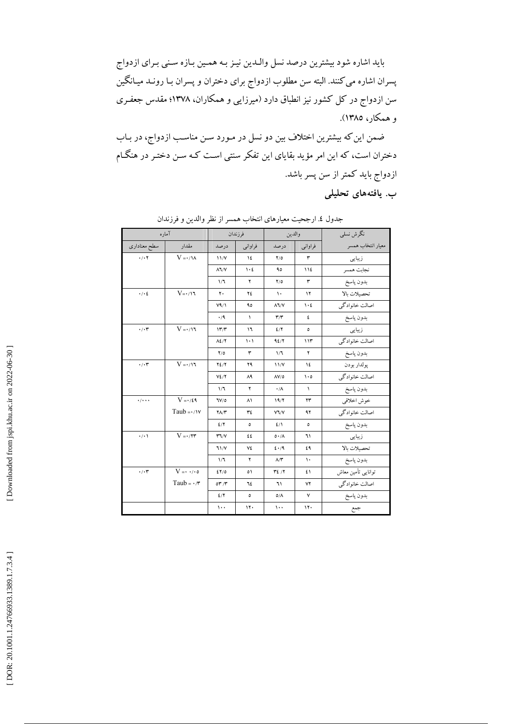باید اشاره شود بیشترین درصد نسل والـدین نیـز بـه همـین بـازه سـنی بـرای ازدواج پسران اشاره می کنند. البته سن مطلوب ازدواج برای دختران و پسران بـا رونــد میــانگین سن ازدواج در کل کشور نیز انطباق دارد (میرزایی و همکاران، ۱۳۷۸؛ مقدس جعفـری و همکار، ۱۳۸۵).

ضمن این که بیشترین اختلاف بین دو نسل در مـورد سـن مناسـب ازدواج، در بـاب دختران است، که این امر مؤید بقایای این تفکر سنتی است کـه سـن دختـر در هنگـام ازدواج باید کمتر از سن پسر باشد.

ب. يافتەھاي تحليلى

| آماره                     |                                 |                                | فرزندان                         | والدين                  |                                 | نگرش نسلبی                      |
|---------------------------|---------------------------------|--------------------------------|---------------------------------|-------------------------|---------------------------------|---------------------------------|
| سطح معنادارى              | مقدار                           | درصد                           | فراوانبي                        | درصد                    | فراوانبي                        | معيار انتخاب همسر               |
| $\cdot$ / $\cdot$ $\cdot$ | $V = \cdot / \lambda$           | 11/Y                           | ١٤                              | Y/O                     | ۳                               | زیبایی                          |
|                           |                                 | $\lambda$ $\lambda$ / $\gamma$ | $\mathcal{N} \cdot \mathcal{L}$ | ٩٥                      | 112                             | نجابت همسر                      |
|                           |                                 | 1/7                            | ۲                               | Y/O                     | ٣                               | بدون پاسخ                       |
| $\cdot$ / $\cdot$ 2       | $V = \cdot / \cdot \tau$        | ٢.                             | ٢٤                              | $\mathcal{N}$           | ١٢                              | تحصيلات بالا                    |
|                           |                                 | V <sup>q</sup> /1              | ۹٥                              | $\lambda$ $\lambda$     | $\mathcal{N} \cdot \mathcal{L}$ | اصالت خانوادگي                  |
|                           |                                 | $\cdot$ /9                     | $\sqrt{2}$                      | $\mathbf{r}/\mathbf{r}$ | ٤                               | بدون پاسخ                       |
| $\cdot$ / $\cdot$ r       | $V=\cdot\,/\, \mathrm{N}$       | 177                            | ۱٦                              | 2/7                     | ٥                               | زیبایی                          |
|                           |                                 | $\Lambda$ ٤/٢                  | $\langle \cdot \rangle$         | 95/7                    | 117                             | اصالت خانوادگي                  |
|                           |                                 | Y/O                            | ۳                               | 1/7                     | ۲                               | بدون پاسخ                       |
| $\cdot/\cdot$ ۳           | $V=\cdot/\mathcal{N}$           | $Y\S'$                         | ٢٩                              | 11/Y                    | ١٤                              | يولدار بودن                     |
|                           |                                 | $V\Sigma/Y$                    | ۸۹                              | $\Lambda V/O$           | $\mathcal{L} \cdot \mathcal{O}$ | ۔<br>اصالت خانوادگ <sub>ی</sub> |
|                           |                                 | 1/7                            | ۲                               | $\cdot/\Lambda$         | $\sqrt{2}$                      | بدون پاسخ                       |
| $\cdot$ / $\cdot$ $\cdot$ | $V = \cdot / \xi$ ٩             | ٦V/٥                           | ۸١                              | 19/7                    | ۲۳                              | خوش اخلاقي                      |
|                           | Taub = $\cdot$ / $\vee$         | $\mathbf{Y}\Lambda/\mathbf{Y}$ | $\tau$ ٤                        | $V\Upsilon/V$           | ۹۲                              | اصالت خانوادگي                  |
|                           |                                 | 2/7                            | $\circ$                         | 2/1                     | ٥                               | بدون پاسخ                       |
| $\cdot/\cdot$             | $V = \cdot / \tau r$            | $\mathbf{r} \mathbf{v}$        | ٤٤                              | 0.7A                    | ٦١                              | زيبايى                          |
|                           |                                 | 71/Y                           | ٧٤                              | 5.79                    | ٤٩                              | تحصيلات بالا                    |
|                           |                                 | 1/7                            | ۲                               | $\Lambda/\Upsilon$      | $\mathcal{L}$                   | بدون پاسخ                       |
| $\cdot/\cdot$ ۳           | $V = \cdot$ $\cdot$ / $\cdot$ 0 | 27/0                           | $\circ$                         | Y'2/Y                   | ٤١                              | توانايبي تأمين معاش             |
|                           | Taub = $\cdot$ / $\mathbf{r}$   | $or \pi$                       | ٦٤                              | ٦١                      | ٧٢                              | اصالت خانوادگي                  |
|                           |                                 | 2/7                            | ٥                               | $O/\Lambda$             | $\mathsf{v}$                    | بدون پاسخ                       |
|                           |                                 | $\cdots$                       | 11.                             | $\cdots$                | 11.                             | جمع                             |

جدول ٤. ارجحیت معیارهای انتخاب همسر از نظر والدین و فرزندان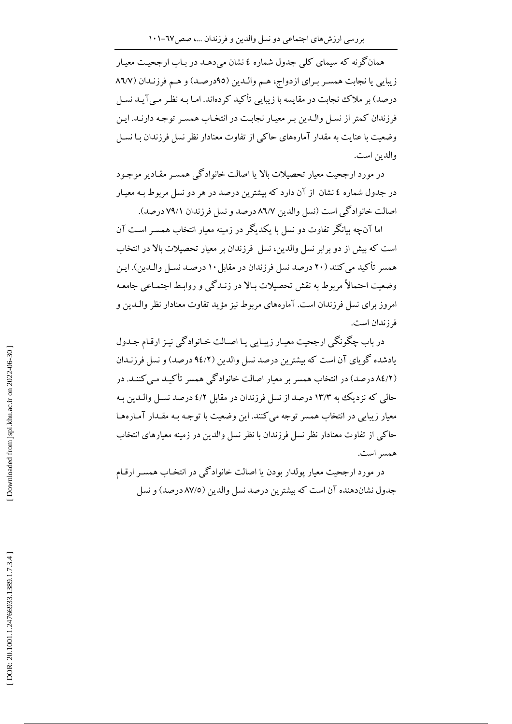همانگونه که سیمای کلی جدول شماره ٤ نشان می دهـد در بـاب ارجحیـت معیـار زیبایی یا نجابت همسر برای ازدواج، هم والدین (۹۵درصد) و هم فرزندان (۸٦/۷ درصد) بر ملاک نجابت در مقایسه با زیبایی تأکید کردهاند. امـا بـه نظـر مـی آیـد نسـل فرزندان كمتر از نسل والـدين بـر معيـار نجابـت در انتخـاب همسـر توجـه دارنـد. ايـن وضعیت با عنایت به مقدار آمارههای حاکم از تفاوت معنادار نظر نسل فرزندان بـا نسـل والدين است.

در مورد ارجحیت معیار تحصیلات بالا یا اصالت خانوادگی همسـر مقـادیر موجـود در جدول شماره ٤ نشان از آن دارد كه بیشترین درصد در هر دو نسل مربوط بـه معیـار اصالت خانوادگی است (نسل والدین ۸٦/۷ درصد و نسل فرزندان ۷۹/۱ درصد).

اما آنچه بیانگر تفاوت دو نسل با یکدیگر در زمینه معیار انتخاب همسـر اسـت آن است که بیش از دو برابر نسل والدین، نسل فرزندان بر معیار تحصیلات بالا در انتخاب همسر تأكيد مي كنند (٢٠ درصد نسل فرزندان در مقابل ١٠ درصـد نسـل والـدين). ايـن وضعت احتمالاً مربوط به نقش تحصلات بالا در زنیدگی و روابط اجتماعی جامعیه امروز براي نسل فرزندان است. آمارههاي مربوط نيز مؤيد تفاوت معنادار نظر والـدين و فرز ندان است.

در باب چگونگی ارجحیت معیار زیبایی یا اصالت خانوادگی نیز ارقام جدول یادشده گویای آن است که بیشترین درصد نسل والدین (۹٤/۲ درصد) و نسل فرزنـدان (۸٤/۲ درصد) در انتخاب همسر بر معیار اصالت خانوادگی همسر تأکیـد مـی کننـد. در حالی که نزدیک به ۱۳/۳ درصد از نسل فرزندان در مقابل ٤/٢ درصد نسـل والـدین بـه معیار زیبایی در انتخاب همسر توجه می کنند. این وضعیت با توجـه بـه مقـدار آمـارههـا حاکی از تفاوت معنادار نظر نسل فرزندان با نظر نسل والدین در زمینه معیارهای انتخاب همسر است.

در مورد ارجحیت معیار پولدار بودن یا اصالت خانوادگی در انتخـاب همسـر ارقـام جدول نشاندهنده آن است كه بيشترين درصد نسل والدين (٨٧/٥ درصد) و نسل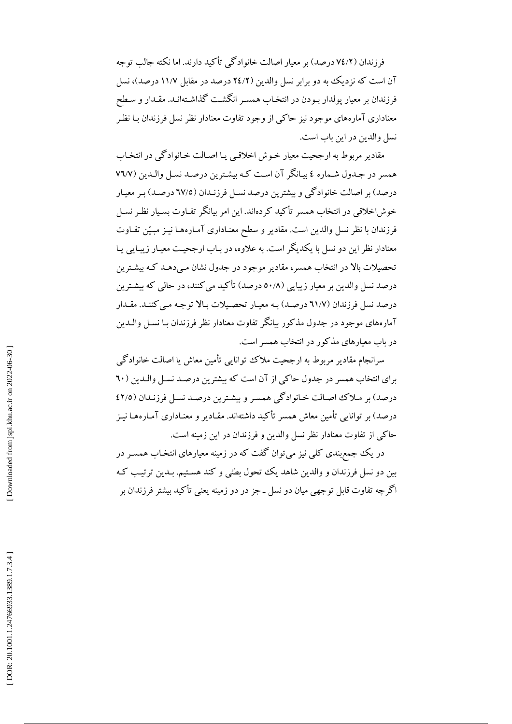فرزندان (٧٤/٢ درصد) بر معیار اصالت خانوادگی تأکید دارند. اما نکته جالب توجه آن است که نزدیک به دو برابر نسل والدین (۲٤/۲ درصد در مقابل ۱۱/۷ درصد)، نسل فرزندان بر معیار پولدار بـودن در انتخـاب همسـر انگشـت گذاشـتهانـد. مقـدار و سـطح معناداری آمارههای موجود نیز حاکمی از وجود تفاوت معنادار نظر نسل فرزندان بـا نظـر نسل والدين در اين باب است.

مقادیر مربوط به ارجحیت معیار خـوش اخلاقـی یـا اصـالت خـانوادگـی در انتخـاب همسر در جدول شـماره ٤ بيـانگر آن اسـت كـه بيشـترين درصـد نسـل والـدين (٧٦/٧ درصد) بر اصالت خانوادگی و بیشترین درصد نسـل فرزنـدان (٦٧/٥ درصـد) بـر معیـار خوش!خلاقی در انتخاب همسر تأکید کردهاند. این امر بیانگر تفـاوت بسـیار نظـر نسـل فرزندان با نظر نسل والدین است. مقادیر و سطح معنـاداری آمـارههـا نیـز مبـیّن تفـاوت معنادار نظر این دو نسل با یکدیگر است. به علاوه، در بـاب ارجحیـت معیـار زیبـایی یـا تحصیلات بالا در انتخاب همسر، مقادیر موجود در جدول نشان مـیدهـد کـه بیشـترین درصد نسل والدین بر معیار زیبایی (۵۰/۸ درصد) تأکید می کنند، در حالی که بیشترین درصد نسل فرزندان (٦١/٧ درصد) بـه معيـار تحصـيلات بـالا توجـه مـي كننـد. مقـدار آمارههای موجود در جدول مذکور بیانگر تفاوت معنادار نظر فرزندان بـا نسـل والــدین در باب معیارهای مذکور در انتخاب همسر است.

سرانجام مقادیر مربوط به ارجحیت ملاک توانایی تأمین معاش یا اصالت خانوادگی برای انتخاب همسر در جدول حاکمی از آن است که بیشترین درصـد نسـل والـدین ( ٦٠ درصد) بر ملاك اصالت خانوادگي همسر و بيشترين درصد نسل فرزنـدان (٤٢/٥ درصد) بر توانایی تأمین معاش همسر تأکید داشتهاند. مقـادیر و معنـاداری آمـارههـا نیـز حاکی از تفاوت معنادار نظر نسل والدین و فرزندان در این زمینه است.

در یک جمع بندی کلی نیز می توان گفت که در زمینه معیارهای انتخـاب همسـر در بین دو نسل فرزندان و والدین شاهد یک تحول بطئی و کند هستیم. بـدین ترتیب کـه اگرچه تفاوت قابل توجهی میان دو نسل ـ جز در دو زمینه یعنی تأکید بیشتر فرزندان بر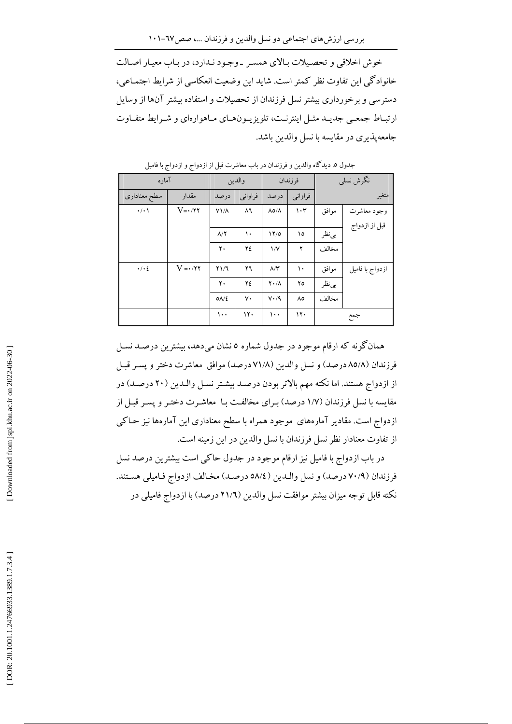خوش اخلاقي و تحصيلات بالاي همسر ـ وجود نـدارد، در بـاب معيـار اصـالت خانوادگی این تفاوت نظر کمتر است. شاید این وضعیت انعکاسی از شرایط اجتمـاعی، دسترسی و برخورداری بیشتر نسل فرزندان از تحصیلات و استفاده بیشتر آنها از وسایل ارتبـاط جمعـي جديـد مثـل اينترنـت، تلويزيـونهـاي مـاهوارهاي و شـرايط متفـاوت جامعه يذيري در مقايسه با نسل والدين باشد.

|                     | آماره                   |                    | والدين   |                        | فرزندان       |        | نگرش نسلبی      |
|---------------------|-------------------------|--------------------|----------|------------------------|---------------|--------|-----------------|
| سطح معنادارى        | مقدار                   | درصد               | فراوانبي | درصد                   | فراوانبي      |        | متغير           |
| $\cdot$ / $\cdot$   | $V = \cdot / \tau \tau$ | $V1/\Lambda$       | ۸٦       | $\Lambda$ o/ $\Lambda$ | $\mathcal{N}$ | موافق  | وجود معاشرت     |
|                     |                         |                    |          |                        |               |        | قبل از ازدواج   |
|                     |                         | $\Lambda/\Upsilon$ | ١٠       | 17/0                   | ١٥            | بى نظر |                 |
|                     |                         | ٢٠                 | ٢٤       | $\sqrt{V}$             | ۲             | مخالف  |                 |
| $\cdot$ / $\cdot$ 2 | $V = \cdot 77$          | $Y\setminus T$     | ۲٦       | $\Lambda/\Upsilon$     | ١٠            | موافق  | ازدواج با فاميل |
|                     |                         | ٢٠                 | ٢٤       | $Y \cdot / \Lambda$    | ۲٥            | بى نظر |                 |
|                     |                         | $0\Lambda/\xi$     | ٧٠       | $V \cdot / 9$          | ٨٥            | مخالف  |                 |
|                     |                         | ۱۰۰                | 17.      | ۱۰۰                    | ۱۲۰           |        | جمع             |

جدول ٥. دیدگاه والدین و فرزندان در باب معاشرت قبل از ازدواج و ازدواج با فامیل

همانگونه که ارقام موجود در جدول شماره ٥ نشان میدهد، بیشترین درصـد نسـل فرزندان (٨٥/٨ درصد) و نسل والدين (٧١/٨ درصد) موافق معاشرت دختر و پسـر قبـل از ازدواج هستند. اما نكته مهم بالاتر بودن درصـد بیشـتر نسـل والـدين (٢٠ درصـد) در مقایسه با نسل فرزندان (۱/۷ درصد) بـرای مخالفت بـا ً معاشـرت دختـر و پسـر قبـل از ازدواج است. مقادیر آمارههای موجود همراه با سطح معناداری این آمارهها نیز حـاکبی از تفاوت معنادار نظر نسل فرزندان با نسل والدين در اين زمينه است.

در باب ازدواج با فامیل نیز ارقام موجود در جدول حاکمی است بیشترین درصد نسل فرزندان (٧٠/٩ درصد) و نسل والـدين (٥٨/٤ درصـد) مخـالف ازدواج فـاميلي هسـتند. نكته قابل توجه ميزان بيشتر موافقت نسل والدين (٢١/٦ درصد) با ازدواج فاميلي در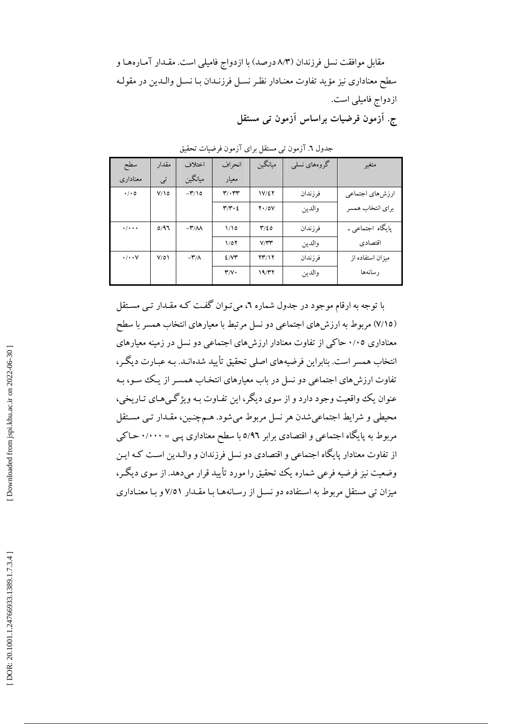مقابل موافقت نسل فرزندان (٨/٣ درصد) با ازدواج فاميلي است. مقـدار آمـارههـا و سطح معناداري نيز مؤيد تفاوت معنـادار نظـر نسـل فرزنـدان بـا نسـل والـدين در مقولـه ازدواج فاميلي است. ج. آزمون فرضیات براساس آزمون تبی مستقل

| سطح                       | مقدار      | اختلاف                   | انحراف                                 | ميانگين        | گروههای نسلبی | متغير            |
|---------------------------|------------|--------------------------|----------------------------------------|----------------|---------------|------------------|
| معنادار ی                 | تى         | ميانگين                  | معيار                                  |                |               |                  |
| $\cdot$ / $\cdot$ 0       | $V/\Omega$ | $-\mathbf{r}/\mathbf{0}$ | $\mathbf{r}/\cdot\mathbf{r}$           | 18/27          | فرزندان       | ارزشهاي اجتماعي  |
|                           |            |                          | $\mathbf{r}/\mathbf{r}\cdot\mathbf{r}$ | $Y \cdot / OV$ | والدين        | براي انتخاب همسر |
| $\cdot$ / $\cdot$ $\cdot$ | 0/97       | $-\mathbf{r}/\mathbf{v}$ | 1/10                                   | $\frac{9}{2}$  | فرزندان       | پایگاه اجتماعی ـ |
|                           |            |                          | 1/07                                   | V/T            | والدين        | اقتصادى          |
| $\cdot/\cdot\cdot$ Y      | V/O        | $-\mathbf{r}/\mathbf{r}$ | 2/VT                                   | 7317           | فرزندان       | میزان استفاده از |
|                           |            |                          | $\mathbf{r}/\mathbf{v}$                | 19/T7          | والدين        | رسانهها          |

جدول ٦. آزمون تبي مستقل براي آزمون فرضيات تحقيق

با توجه به ارقام موجود در جدول شماره ٦، می تـوان گفـت کـه مقـدار تـی مسـتقل (۷/۱۵) مربوط به ارزش،ای اجتماعی دو نسل مرتبط با معیارهای انتخاب همسر با سطح معناداری ۰/۰۵ حاکی از تفاوت معنادار ارزش های اجتماعی دو نسل در زمینه معیارهای انتخاب همسر است. بنابراین فرضیههای اصلی تحقیق تأیید شدهانـد. بـه عبـارت دیگـر، تفاوت ارزش های اجتماعی دو نسل در باب معیارهای انتخـاب همسـر از یـک سو، بـه عنوان يک واقعيت وجود دارد و از سوي ديگر، اين تفـاوت بـه ويژگـيهـاي تـاريخي، محیطی و شرایط اجتماعیشدن هر نسل مربوط میشود. هـمچنـین، مقـدار تـی مسـتقل مربوط به پایگاه اجتماعی و اقتصادی برابر ٥/٩٦ با سطح معناداری پـی = ٠/٠٠٠ حـاکی از تفاوت معنادار پایگاه اجتماعی و اقتصادی دو نسل فرزندان و والـدین اسـت کـه ایـن وضعیت نیز فرضیه فرعی شماره یک تحقیق را مورد تأیید قرار میدهد. از سوی دیگـر، میزان تبی مستقل مربوط به استفاده دو نسـل از رسـانههـا بـا مقـدار ۷/٥١ و بـا معنـاداری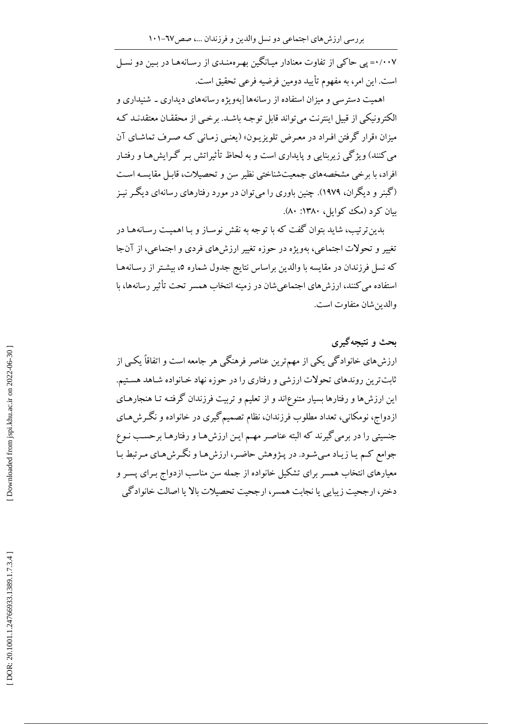۰/۰۰۷= پی حاکی از تفاوت معنادار میـانگین بهـر ممنـدی از رسـانههـا در پـین دو نسـل است. این امر، به مفهوم تأیید دومین فرضیه فرعی تحقیق است.

اهمیت دسترسی و میزان استفاده از رسانهها [بهویژه رسانههای دیداری ـ شنیداری و الكترونيكي از قبيل اينترنت مي تواند قابل توجـه باشـد. برخـي از محققـان معتقدنـد كـه میزان «قرار گرفتن افـراد در معـرض تلویزیـون» (یعنـی زمـانی کـه صـرف تماشـای آن می کنند) و یژگی زیربنایی و پایداری است و به لحاظ تأثیراتش پیر گیرایش هیا و رفتیار افراد، با برخی مشخصههای جمعیتشناختی نظیر سن و تحصیلات، قابل مقایسه است (گینر و دیگران، ۱۹۷۹). چنین باوری را می توان در مورد رفتارهای رسانهای دیگر نیـز بيان كړد (مك كوايل، ١٣٨٠: ٨٠).

بدین تر تیب، شاید بتوان گفت که با توجه به نقش نوسـاز و بـا اهمیـت رسـانههـا در تغییر و تحولات اجتماعی، بهویژه در حوزه تغییر ارزش های فردی و اجتماعی، از آنجا که نسل فرزندان در مقایسه با والدین براساس نتایج جدول شماره ۵، بیشتر از رسـانههـا استفاده می کنند، ارزش های اجتماعی شان در زمینه انتخاب همسر تحت تأثیر رسانهها، با والدين شان متفاوت است.

بحث و نتیجهگیری ارزشهای خانوادگی یکی از مهمترین عناصر فرهنگی هر جامعه است و اتفاقاً یکبی از ثابتترین روندهای تحولات ارزشی و رفتاری را در حوزه نهاد خـانواده شـاهد هسـتیم. این ارزش ها و رفتارها بسیار متنوع|ند و از تعلیم و تربیت فرزندان گرفتـه تـا هنجارهـای ازدواج، نومکانی، تعداد مطلوب فرزندان، نظام تصمیمگیری در خانواده و نگـرش۱عای جنسیتی را در برمی گیرند که البته عناصر مهـم ایـن ارزشهـا و رفتارهـا برحسـب نـوع جوامع کم یا زیاد میشود. در پـژوهش حاضـر، ارزشهـا و نگـرشهـای مـرتبط بـا معیارهای انتخاب همسر برای تشکیل خانواده از جمله سن مناسب ازدواج بـرای پسـر و دختر، ارجحیت زیبایی یا نجابت همسر، ارجحیت تحصیلات بالا یا اصالت خانوادگی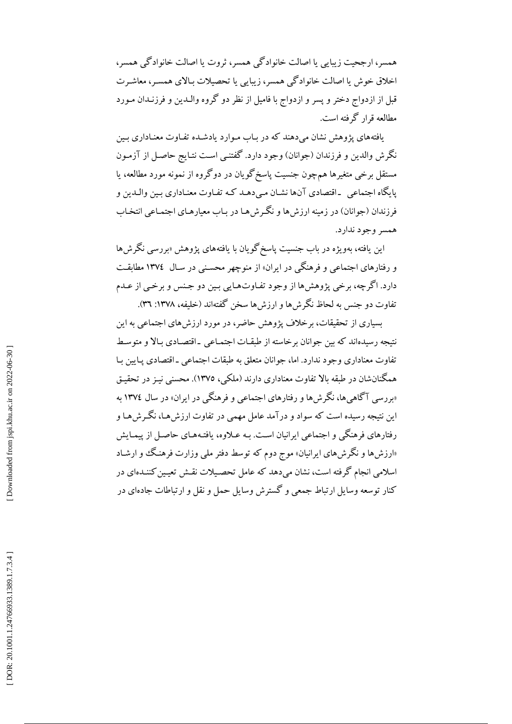همسر، ارجحیت زیبایی یا اصالت خانوادگی همسر، ثروت یا اصالت خانوادگی همسر، اخلاق خوش یا اصالت خانوادگی همسر، زیبایی یا تحصیلات بـالای همسـر، معاشـرت قبل از ازدواج دختر و پسر و ازدواج با فامیل از نظر دو گروه والـدین و فرزنـدان مـورد مطالعه قرار گرفته است.

یافتههای یژوهش نشان میٖدهند که در بـاب مـوارد یادشـده تفـاوت معنـاداری بـین نگرش والدین و فرزندان (جوانان) وجود دارد. گفتنـی اسـت نتـایج حاصـل از آزمـون مستقل برخي متغيرها همچون جنسيت ياسخگو يان در دوگروه از نمونه مورد مطالعه، يا پایگاه اجتماعی ۔اقتصادی آنها نشـان مے دهـد کـه تفـاوت معنـاداری بـین والـدین و فرزندان (جوانان) در زمینه ارزش ها و نگر ش هـا در بـاب معیارهـای اجتمـاعی انتخـاب همسر وجود ندارد.

این یافته، بهویژه در باب جنسیت پاسخ<sup>2</sup>گویان با یافتههای پژوهش «بررسی نگرش۵ا و رفتارهای اجتماعی و فرهنگی در ایران» از منوچهر محسـنی در سـال ١٣٧٤ مطابقـت دارد. اگرچه، برخي پژوهشها از وجود تفـاوتهـايي بـين دو جـنس و برخـي از عــدم تفاوت دو جنس به لحاظ نگرش ها و ارزش ها سخن گفتهاند (خلیفه، ۱۳۷۸: ۳۶).

بسیاری از تحقیقات، برخلاف پژوهش حاضر، در مورد ارزش های اجتماعی به این نتيجه رسيدهاند كه بين جوانان برخاسته از طبقـات اجتمـاعي \_اقتصـادي بـالا و متوسـط تفاوت معناداري وجود ندارد. اما، جوانان متعلق به طبقات اجتماعي ـ اقتصادي پـايين بـا همگنانشان در طبقه بالا تفاوت معناداری دارند (ملکی، ۱۳۷۵). محسنی نیـز در تحقیـق «بررسی آگاهیها، نگرشها و رفتارهای اجتماعی و فرهنگی در ایران» در سال ۱۳۷٤ به این نتیجه رسیده است که سواد و درآمد عامل مهمی در تفاوت ارزش هـا، نگـرش هـا و رفتارهای فرهنگی و اجتماعی ایرانیان است. بـه عـلاوه، یافتـههـای حاصـل از پیمـایش «ارزش ها و نگر ش های ایرانیان» موج دوم که توسط دفتر ملم وزارت فرهنگ و ارشـاد اسلامی انجام گرفته است، نشان می دهد که عامل تحصیلات نقش تعیین کننـدهای در کنار توسعه وسایل ارتباط جمعی و گسترش وسایل حمل و نقل و ارتباطات جادهای در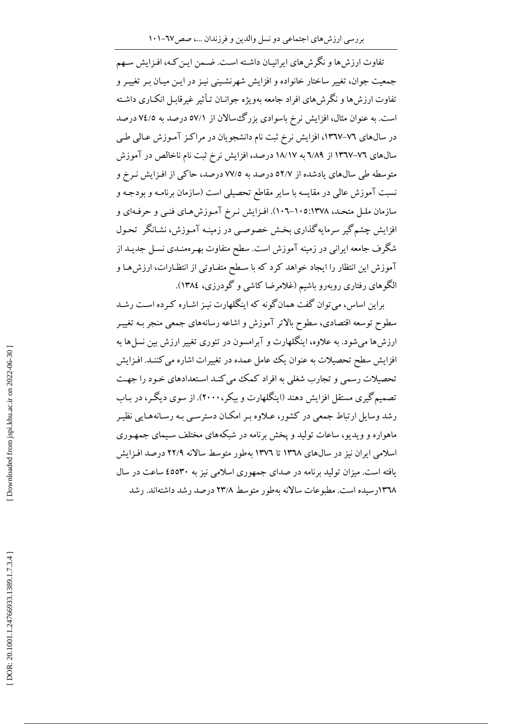تفاوت ارزش ها و نگرش های ایرانیـان داشـته اسـت. ضـمن ایـن کـه، افـزایش سـهم جمعیت جوان، تغییر ساختار خانواده و افزایش شهرنشینی نیـز در ایـن میـان بـر تغییـر و تفاوت ارزشها و نگرش،های افراد جامعه بهویژه جوانـان تـأثیر غیرقابـل انکـاری داشـته است. به عنوان مثال، افزایش نرخ باسوادی بزرگ سالان از ٥٧/١ درصد به ٧٤/٥ درصد در سالهای ۷۲–۱۳٦۷، افزایش نرخ ثبت نام دانشجویان در مراکز آموزش عـالی طـی سالهای ۷۲–۱۳٦۷ از ۱۸/۱۹ به ۱۸/۱۷ درصد، افزایش نرخ ثبت نام ناخالص در آموزش متوسطه طی سالهای یادشده از ٥٢/٧ درصد به ٧٧/٥ درصد، حاکی از افـزایش نـرخ و نسبت آموزش عالی در مقایسه با سایر مقاطع تحصیلی است (سازمان برنامـه و بودجـه و سازمان ملـل متحـد، ۱۳۷۸:۱۰۵-۱۰٦). افـزايش نـرخ آمـوزش هـاي فنـي و حرفـهاي و افزایش چشم گیر سرمایه گذاری بخش خصوصبی در زمینـه آمـوزش، نشـانگر تحـول شگرف جامعه ایرانی در زمینه آموزش است. سطح متفاوت بهـرهمنـدی نسـل جدیـد از آموزش این انتظار را ایجاد خواهد کرد که با سطح متفـاوتی از انتظـارات، ارزشهـا و الگوهای رفتاری روبهرو باشیم (غلامرضا کاشی و گودرزی، ۱۳۸٤).

براین اساس، می توان گفت همان گونه که اینگلهارت نیـز اشـاره کـرده اسـت رشـد سطوح توسعه اقتصادي، سطوح بالاتر آموزش و اشاعه رسانههاي جمعي منجر بـه تغييـر ارزش ها می شود. به علاوه، اینگلهارت و آبرامسون در تئوری تغییر ارزش بین نسل ها به افزایش سطح تحصیلات به عنوان یک عامل عمده در تغییرات اشاره می کننـد. افـزایش تحصیلات رسمی و تجارب شغلی به افراد کمک می کنـد اسـتعدادهای خـود را جهـت تصمیم گیری مستقل افزایش دهند (اینگلهارت و بیکر،۲۰۰۰). از سوی دیگـر، در بـاب رشد وسایل ارتباط جمعی در کشور، عـلاوه بـر امکـان دسترسـی بـه رسـانههـایی نظیـر ماهواره و ویدیو، ساعات تولید و پخش برنامه در شبکههای مختلف سـیمای جمهـوری اسلامی ایران نیز در سالهای ۱۳۶۸ تا ۱۳۷۲ بهطور متوسط سالانه ۲۲/۹ درصد افزایش یافته است. میزان تولید برنامه در صدای جمهوری اسلامی نیز به ٤٥٥٣٠ ساعت در سال ۱۳٦۸رسیده است. مطبوعات سالانه بهطور متوسط ۲۳/۸ درصد رشد داشتهاند. رشد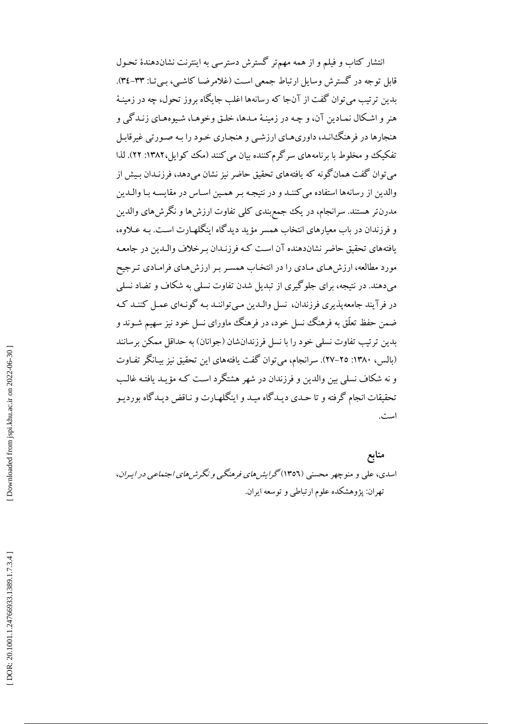انتشار کتاب و فیلم و از همه مهمتر گسترش دسترسی به اینترنت نشاندهندهٔ تحـول قابل توجه در گسترش وسایل ارتباط جمعی است (غلامرضا کاشبی، ببی تـا: ۳۳-۳٤). بدین ترتیب می توان گفت از آنجا که رسانهها اغلب جایگاه بروز تحول، چه در زمینـهٔ هنر و اشکال نمـادين آن، و چـه در زمينـهٔ مـدها، خلـق وخوهـا، شـيوههـاي زنـدگي و هنجارها در فرهنگ انـد، داوري هـاي ارزشـي و هنجـاري خـود را بـه صـورتي غيرقابـل تفکیک و مخلوط با بر نامههای سرگرم کننده بیان می کنند (مک کوایل،۱۳۸۲: ۲۲). لذا می توان گفت همانگونه که یافتههای تحقیق حاضر نیز نشان میدهد، فرزنـدان بـیش از والدین از رسانهها استفاده می کننـد و در نتیجـه بـر همـین اسـاس در مقایسـه بـا والـدین مدرنتر هستند. سرانجام، در یک جمع بندی کلی تفاوت ارزش ها و نگرش های والدین و فرزندان در باب معیارهای انتخاب همسر مؤید دیدگاه اینگلهبارت است. بـه عـلاوه، یافتههای تحقیق حاضر نشاندهنده آن است کـه فرزنـدان بـرخلاف والـدین در جامعـه مورد مطالعه، ارزش هـاي مـادي را در انتخـاب همسـر بـر ارزش هـاي فرامـادي تـرجيح می دهند. در نتیجه، برای جلوگیری از تبدیل شدن تفاوت نسلی به شکاف و تضاد نسلی در فرآیند جامعه پذیری فرزندان، نسل والـدین مـی تواننـد بـه گونـهای عمـل کننـد کـه ضمن حفظ تعلُّق به فرهنگ نسل خود، در فرهنگ ماورای نسل خود نیز سهیم شـوند و بدین ترتیب تفاوت نسلی خود را با نسل فرزندانشان (جوانان) به حداقل ممکن برسانند (بالس، ١٣٨٠: ٢٥-٢٧). سرانجام، مي توان گفت يافتههاي اين تحقيق نيز بيـانگر تفـاوت و نه شکاف نسلمی بین والدین و فرزندان در شهر هشتگرد است کـه مؤیـد یافتـه غالـب تحقيقات انجام گرفته و تا حـدي ديـدگاه ميـد و اينگلهـارت و نـاقض ديـدگاه بورديـو است.

منابع اسدي، علي و منوچهر محسني (١٣٥٦) گرايش *هاي فرهنگي و نگر ش هاي اجتماعي در ايبران*، تهران: یژوهشکده علوم ارتباطی و توسعه ایران.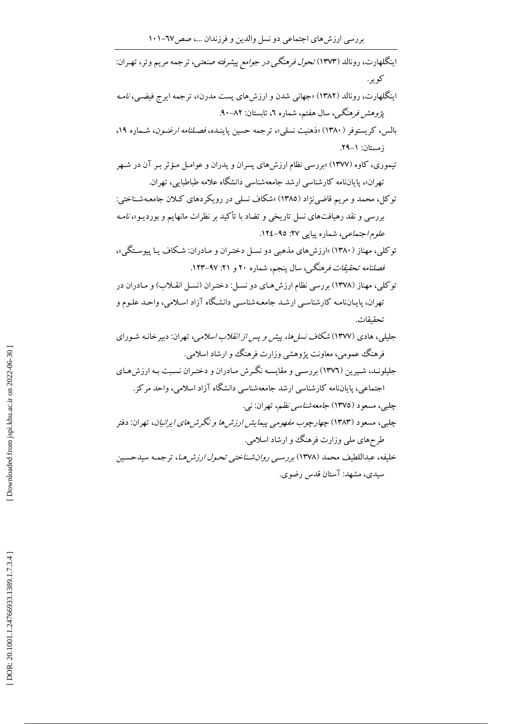| اینگلهارت، رونالد (۱۳۷۳) <i>تحول فرهنگی در جوامع پیشرفته صنعتی</i> ، ترجمه مریم وتر، تهـران:               |
|------------------------------------------------------------------------------------------------------------|
| کوير.                                                                                                      |
| اینگلهارت، رونالد (۱۳۸۲) «جهانی شدن و ارزشهای پست مدرن»، ترجمه ایرج فیضـی، <i>نامـه</i>                    |
| <i>پژوهش فرهنگی،</i> سال هفتم، شماره ۲، تابستان: ۸۲–۹۰.                                                    |
| بالس، کریستوفر (۱۳۸۰) «ذهنیت نسل <sub>یا</sub> »، ترجمه حسین پاینـده، <i>فصـلنامه ارغنـون</i> ، شـماره ۱۹، |
| زمستان: ١–٢٩.                                                                                              |
| تیموری، کاوه (۱۳۷۷) «بررسی نظام ارزشهای پسران و پدران و عوامـل مـؤثر بـر آن در شـهر                        |
| تهران»، پایاننامه کارشناسی ارشد جامعهشناسی دانشگاه علامه طباطبایی، تهران.                                  |
| توکل، محمد و مریم قاضینژاد (۱۳۸۵) «شکاف نسلی در رویکردهای کـلان جامعـهشـناختی:                             |
| بررسی و نقد رهیافتهای نسل تاریخی و تضاد با تأکید بر نظرات مانهایم و بوردیـو»، <i>نامـه</i>                 |
| <i>علوم اجتماعی</i> ، شماره پیاپی ۲۷: ۹۵-۱۲٤.                                                              |
| توکلی، مهناز (۱۳۸۰) «ارزشهای مذهبی دو نسـل دختـران و مـادران: شـکاف یـا پیوسـتگی»،                         |
| فص <i>لنامه تحقیقات فرهنگی</i> ، سال پنجم، شماره ۲۰ و ۲۱: ۹۷–۱۲۳.                                          |
| توکلی، مهناز (۱۳۷۸) بررسی نظام ارزش هـای دو نسـل: دختـران (نسـل انقـلاب) و مـادران در                      |
| تهران، پایـاننامـه کارشناسـي ارشـد جامعـهشناسـي دانشـگاه آزاد اسـلامي، واحـد علـوم و                       |
| تحقيقات.                                                                                                   |
| جلیلی، هادی (۱۳۷۷) <i>شکاف نسل ها، پیش و پس از انقلاب اسلامی</i> ، تهران: دبیرخانـه شـورای                 |
| فرهنگ عمومی، معاونت پژوهشی وزارت فرهنگ و ارشاد اسلامی.                                                     |
| جلیلونـد، شـیرین (۱۳۷٦) بررسـی و مقایسـه نگـرش مـادران و دختـران نسـبت بـه ارزش۵حای                        |
| اجتماعی، پایاننامه کارشناسی ارشد جامعهشناسی دانشگاه آزاد اسلامی، واحد مرکز.                                |
| چلببی، مسعود (۱۳۷۵) <i>جامعهشناسی نظم</i> ، تهران: نبی.                                                    |
| چلبی، مسعود (۱۳۸۳) <i>چهارچوب مفهومی پیمایش ارزش ها و نگرش های ایرانیان</i> ، تهران: دفتر                  |
| طرحهای ملی وزارت فرهنگ و ارشاد اسلامی.                                                                     |
| خلیفه، عبداللطیف محمد (۱۳۷۸) <i>بررسمی روانشناختی تحول ارزش هـا</i> ، ترجمـه سیدحسـین                      |
| سیدی، مشهد: آستان قدس رضوی.                                                                                |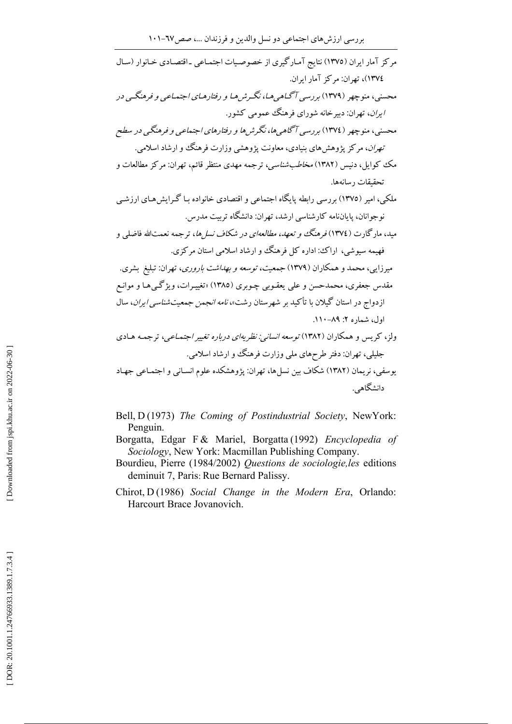Bell, D(1973) The Coming of Postindustrial Society, NewYork: Penguin.

- Borgatta, Edgar F & Mariel, Borgatta (1992) Encyclopedia of Sociology, New York: Macmillan Publishing Company.
- Bourdieu, Pierre (1984/2002) Questions de sociologie, les editions deminuit 7, Paris: Rue Bernard Palissy.
- Chirot, D(1986) Social Change in the Modern Era, Orlando: Harcourt Brace Jovanovich.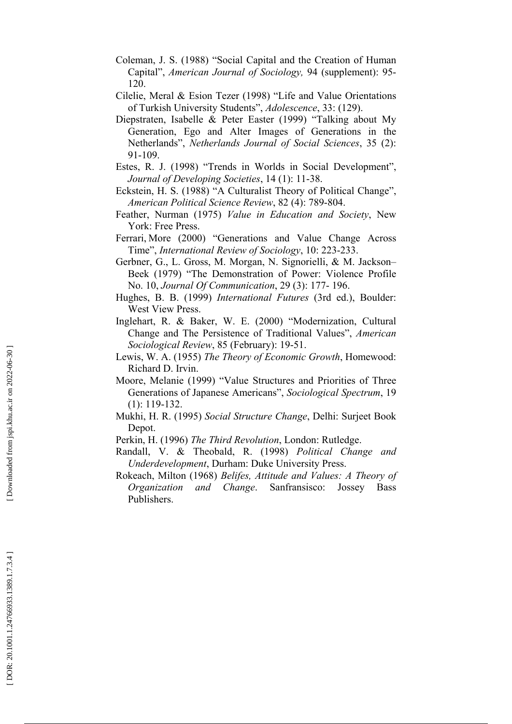- Coleman, J. S. (1988) "Social Capital and the Creation of Human Capital", American Journal of Sociology, 94 (supplement): 95-120
- Cilelie, Meral & Esion Tezer (1998) "Life and Value Orientations of Turkish University Students", Adolescence, 33: (129).
- Diepstraten, Isabelle & Peter Easter (1999) "Talking about My Generation, Ego and Alter Images of Generations in the Netherlands", Netherlands Journal of Social Sciences, 35 (2): 91-109.
- Estes, R. J. (1998) "Trends in Worlds in Social Development", Journal of Developing Societies, 14 (1): 11-38.
- Eckstein, H. S. (1988) "A Culturalist Theory of Political Change", American Political Science Review, 82 (4): 789-804.
- Feather, Nurman (1975) Value in Education and Society, New York: Free Press.
- Ferrari, More (2000) "Generations and Value Change Across Time", International Review of Sociology, 10: 223-233.
- Gerbner, G., L. Gross, M. Morgan, N. Signorielli, & M. Jackson-Beek (1979) "The Demonstration of Power: Violence Profile No. 10, Journal Of Communication, 29 (3): 177-196.
- Hughes, B. B. (1999) International Futures (3rd ed.), Boulder: West View Press.
- Inglehart, R. & Baker, W. E. (2000) "Modernization, Cultural Change and The Persistence of Traditional Values", American Sociological Review, 85 (February): 19-51.
- Lewis, W. A. (1955) The Theory of Economic Growth, Homewood: Richard D. Irvin.
- Moore, Melanie (1999) "Value Structures and Priorities of Three Generations of Japanese Americans", Sociological Spectrum, 19  $(1): 119-132.$
- Mukhi, H. R. (1995) Social Structure Change, Delhi: Surjeet Book Depot.

Perkin, H. (1996) The Third Revolution, London: Rutledge.

- Randall, V. & Theobald, R. (1998) Political Change and Underdevelopment, Durham: Duke University Press.
- Rokeach, Milton (1968) Belifes, Attitude and Values: A Theory of Organization and Change. Sanfransisco: Jossey Bass Publishers.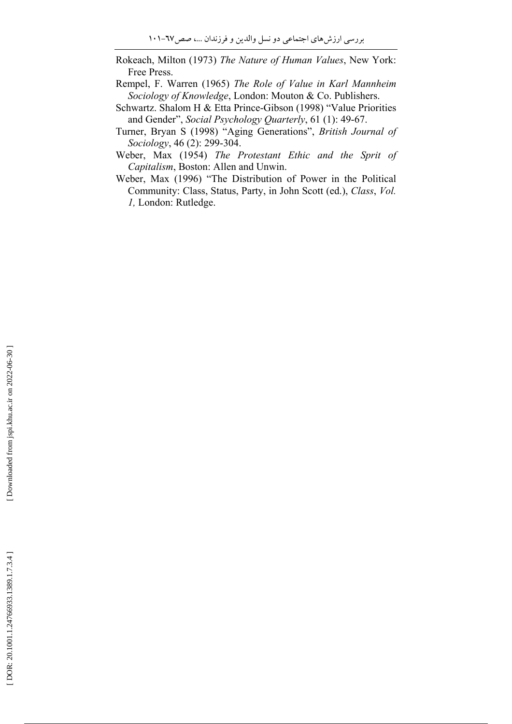- Rokeach, Milton (1973) The Nature of Human Values, New York: Free Press.
- Rempel, F. Warren (1965) The Role of Value in Karl Mannheim Sociology of Knowledge, London: Mouton & Co. Publishers.
- Schwartz. Shalom H & Etta Prince-Gibson (1998) "Value Priorities and Gender", Social Psychology Quarterly, 61 (1): 49-67.
- Turner, Bryan S (1998) "Aging Generations", British Journal of Sociology, 46 (2): 299-304.
- Weber, Max (1954) The Protestant Ethic and the Sprit of Capitalism, Boston: Allen and Unwin.
- Weber, Max (1996) "The Distribution of Power in the Political Community: Class, Status, Party, in John Scott (ed.), Class, Vol. *l*, London: Rutledge.